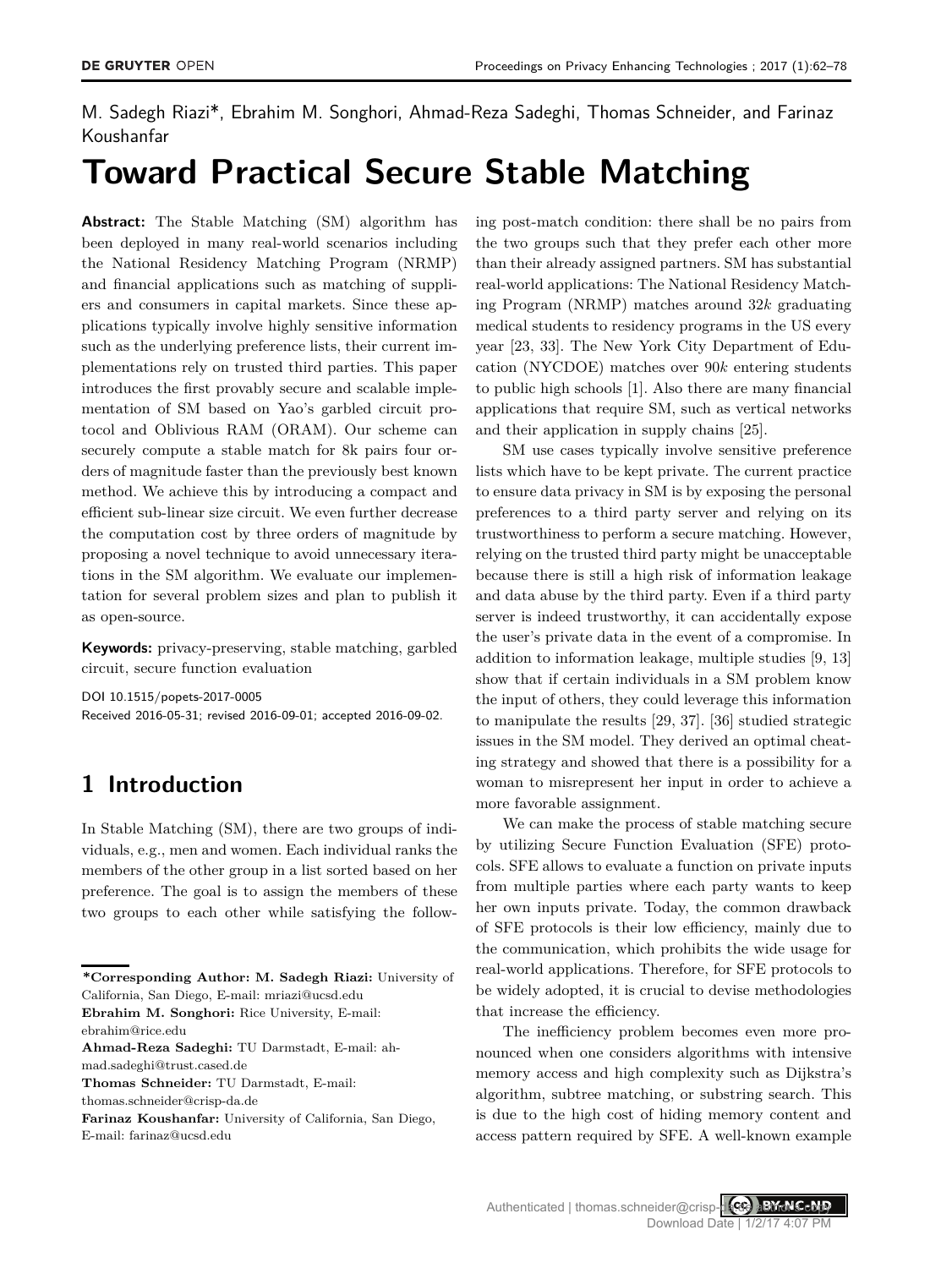M. Sadegh Riazi\*, Ebrahim M. Songhori, Ahmad-Reza Sadeghi, Thomas Schneider, and Farinaz Koushanfar

# **Toward Practical Secure Stable Matching**

**Abstract:** The Stable Matching (SM) algorithm has been deployed in many real-world scenarios including the National Residency Matching Program (NRMP) and financial applications such as matching of suppliers and consumers in capital markets. Since these applications typically involve highly sensitive information such as the underlying preference lists, their current implementations rely on trusted third parties. This paper introduces the first provably secure and scalable implementation of SM based on Yao's garbled circuit protocol and Oblivious RAM (ORAM). Our scheme can securely compute a stable match for 8k pairs four orders of magnitude faster than the previously best known method. We achieve this by introducing a compact and efficient sub-linear size circuit. We even further decrease the computation cost by three orders of magnitude by proposing a novel technique to avoid unnecessary iterations in the SM algorithm. We evaluate our implementation for several problem sizes and plan to publish it as open-source.

**Keywords:** privacy-preserving, stable matching, garbled circuit, secure function evaluation

DOI 10.1515/popets-2017-0005 Received 2016-05-31; revised 2016-09-01; accepted 2016-09-02.

# **1 Introduction**

In Stable Matching (SM), there are two groups of individuals, e.g., men and women. Each individual ranks the members of the other group in a list sorted based on her preference. The goal is to assign the members of these two groups to each other while satisfying the follow-

thomas.schneider@crisp-da.de

ing post-match condition: there shall be no pairs from the two groups such that they prefer each other more than their already assigned partners. SM has substantial real-world applications: The National Residency Matching Program (NRMP) matches around 32*k* graduating medical students to residency programs in the US every year [23, 33]. The New York City Department of Education (NYCDOE) matches over 90*k* entering students to public high schools [1]. Also there are many financial applications that require SM, such as vertical networks and their application in supply chains [25].

SM use cases typically involve sensitive preference lists which have to be kept private. The current practice to ensure data privacy in SM is by exposing the personal preferences to a third party server and relying on its trustworthiness to perform a secure matching. However, relying on the trusted third party might be unacceptable because there is still a high risk of information leakage and data abuse by the third party. Even if a third party server is indeed trustworthy, it can accidentally expose the user's private data in the event of a compromise. In addition to information leakage, multiple studies [9, 13] show that if certain individuals in a SM problem know the input of others, they could leverage this information to manipulate the results [29, 37]. [36] studied strategic issues in the SM model. They derived an optimal cheating strategy and showed that there is a possibility for a woman to misrepresent her input in order to achieve a more favorable assignment.

We can make the process of stable matching secure by utilizing Secure Function Evaluation (SFE) protocols. SFE allows to evaluate a function on private inputs from multiple parties where each party wants to keep her own inputs private. Today, the common drawback of SFE protocols is their low efficiency, mainly due to the communication, which prohibits the wide usage for real-world applications. Therefore, for SFE protocols to be widely adopted, it is crucial to devise methodologies that increase the efficiency.

The inefficiency problem becomes even more pronounced when one considers algorithms with intensive memory access and high complexity such as Dijkstra's algorithm, subtree matching, or substring search. This is due to the high cost of hiding memory content and access pattern required by SFE. A well-known example

Authenticated | thomas.schneider@crisp-dace authoris copy Download Date | 1/2/17 4:07 PM

**<sup>\*</sup>Corresponding Author: M. Sadegh Riazi:** University of California, San Diego, E-mail: mriazi@ucsd.edu

**Ebrahim M. Songhori:** Rice University, E-mail: ebrahim@rice.edu

**Ahmad-Reza Sadeghi:** TU Darmstadt, E-mail: ahmad.sadeghi@trust.cased.de

**Thomas Schneider:** TU Darmstadt, E-mail:

**Farinaz Koushanfar:** University of California, San Diego, E-mail: farinaz@ucsd.edu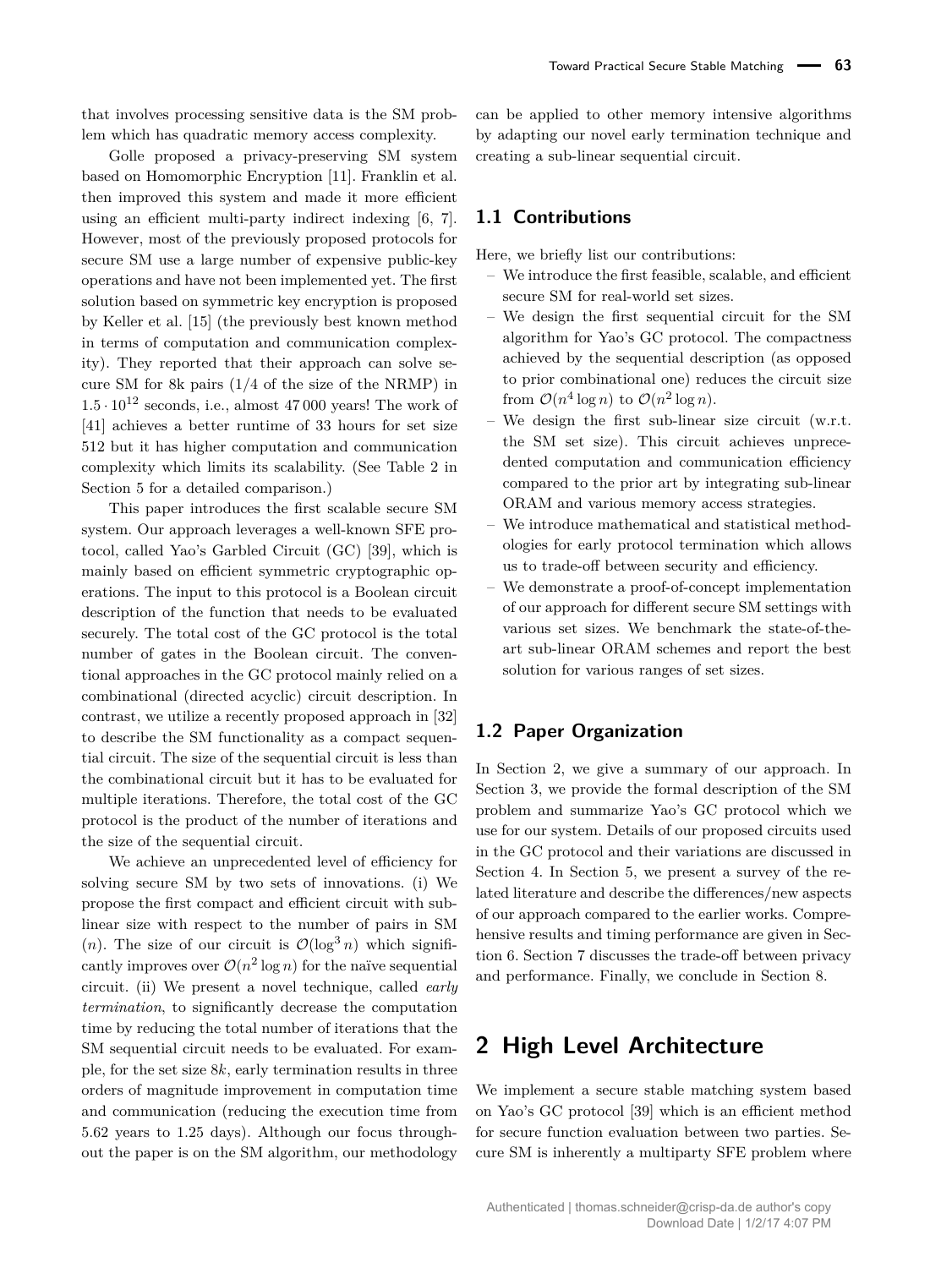that involves processing sensitive data is the SM problem which has quadratic memory access complexity.

Golle proposed a privacy-preserving SM system based on Homomorphic Encryption [11]. Franklin et al. then improved this system and made it more efficient using an efficient multi-party indirect indexing [6, 7]. However, most of the previously proposed protocols for secure SM use a large number of expensive public-key operations and have not been implemented yet. The first solution based on symmetric key encryption is proposed by Keller et al. [15] (the previously best known method in terms of computation and communication complexity). They reported that their approach can solve secure SM for 8k pairs (1*/*4 of the size of the NRMP) in  $1.5 \cdot 10^{12}$  seconds, i.e., almost 47000 years! The work of [41] achieves a better runtime of 33 hours for set size 512 but it has higher computation and communication complexity which limits its scalability. (See Table 2 in Section 5 for a detailed comparison.)

This paper introduces the first scalable secure SM system. Our approach leverages a well-known SFE protocol, called Yao's Garbled Circuit (GC) [39], which is mainly based on efficient symmetric cryptographic operations. The input to this protocol is a Boolean circuit description of the function that needs to be evaluated securely. The total cost of the GC protocol is the total number of gates in the Boolean circuit. The conventional approaches in the GC protocol mainly relied on a combinational (directed acyclic) circuit description. In contrast, we utilize a recently proposed approach in [32] to describe the SM functionality as a compact sequential circuit. The size of the sequential circuit is less than the combinational circuit but it has to be evaluated for multiple iterations. Therefore, the total cost of the GC protocol is the product of the number of iterations and the size of the sequential circuit.

We achieve an unprecedented level of efficiency for solving secure SM by two sets of innovations. (i) We propose the first compact and efficient circuit with sublinear size with respect to the number of pairs in SM  $(n)$ . The size of our circuit is  $\mathcal{O}(\log^3 n)$  which significantly improves over  $\mathcal{O}(n^2 \log n)$  for the naïve sequential circuit. (ii) We present a novel technique, called *early termination*, to significantly decrease the computation time by reducing the total number of iterations that the SM sequential circuit needs to be evaluated. For example, for the set size 8*k*, early termination results in three orders of magnitude improvement in computation time and communication (reducing the execution time from 5*.*62 years to 1*.*25 days). Although our focus throughout the paper is on the SM algorithm, our methodology

can be applied to other memory intensive algorithms by adapting our novel early termination technique and creating a sub-linear sequential circuit.

### **1.1 Contributions**

Here, we briefly list our contributions:

- We introduce the first feasible, scalable, and efficient secure SM for real-world set sizes.
- We design the first sequential circuit for the SM algorithm for Yao's GC protocol. The compactness achieved by the sequential description (as opposed to prior combinational one) reduces the circuit size from  $\mathcal{O}(n^4 \log n)$  to  $\mathcal{O}(n^2 \log n)$ .
- We design the first sub-linear size circuit (w.r.t. the SM set size). This circuit achieves unprecedented computation and communication efficiency compared to the prior art by integrating sub-linear ORAM and various memory access strategies.
- We introduce mathematical and statistical methodologies for early protocol termination which allows us to trade-off between security and efficiency.
- We demonstrate a proof-of-concept implementation of our approach for different secure SM settings with various set sizes. We benchmark the state-of-theart sub-linear ORAM schemes and report the best solution for various ranges of set sizes.

### **1.2 Paper Organization**

In Section 2, we give a summary of our approach. In Section 3, we provide the formal description of the SM problem and summarize Yao's GC protocol which we use for our system. Details of our proposed circuits used in the GC protocol and their variations are discussed in Section 4. In Section 5, we present a survey of the related literature and describe the differences/new aspects of our approach compared to the earlier works. Comprehensive results and timing performance are given in Section 6. Section 7 discusses the trade-off between privacy and performance. Finally, we conclude in Section 8.

# **2 High Level Architecture**

We implement a secure stable matching system based on Yao's GC protocol [39] which is an efficient method for secure function evaluation between two parties. Secure SM is inherently a multiparty SFE problem where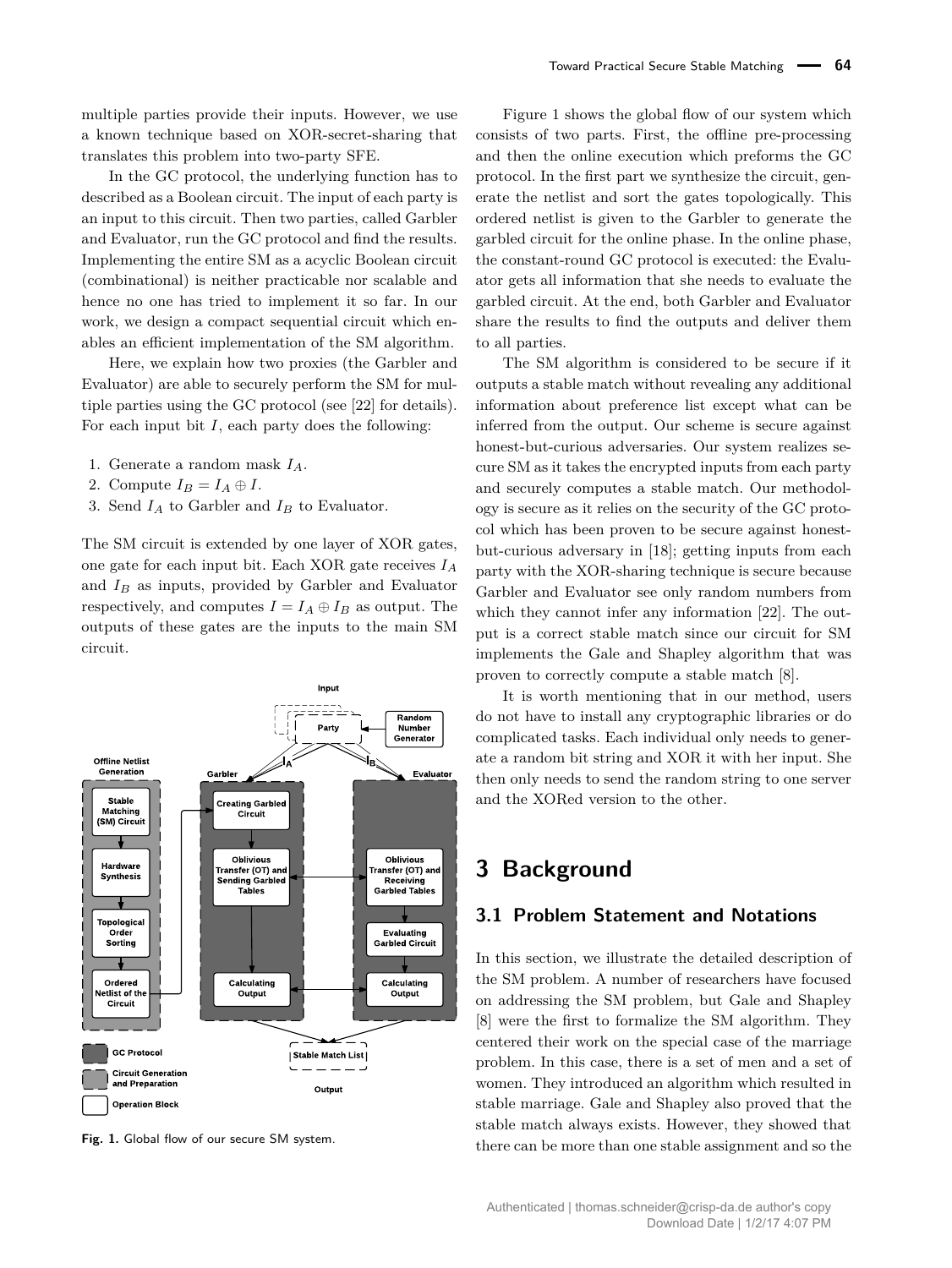multiple parties provide their inputs. However, we use a known technique based on XOR-secret-sharing that translates this problem into two-party SFE.

In the GC protocol, the underlying function has to described as a Boolean circuit. The input of each party is an input to this circuit. Then two parties, called Garbler and Evaluator, run the GC protocol and find the results. Implementing the entire SM as a acyclic Boolean circuit (combinational) is neither practicable nor scalable and hence no one has tried to implement it so far. In our work, we design a compact sequential circuit which enables an efficient implementation of the SM algorithm.

Here, we explain how two proxies (the Garbler and Evaluator) are able to securely perform the SM for multiple parties using the GC protocol (see [22] for details). For each input bit *I*, each party does the following:

- 1. Generate a random mask *IA*.
- 2. Compute  $I_B = I_A \oplus I$ .
- 3. Send  $I_A$  to Garbler and  $I_B$  to Evaluator.

The SM circuit is extended by one layer of XOR gates, one gate for each input bit. Each XOR gate receives *I<sup>A</sup>* and *I<sup>B</sup>* as inputs, provided by Garbler and Evaluator respectively, and computes  $I = I_A \oplus I_B$  as output. The outputs of these gates are the inputs to the main SM circuit.



**Fig. 1.** Global flow of our secure SM system.

Figure 1 shows the global flow of our system which consists of two parts. First, the offline pre-processing and then the online execution which preforms the GC protocol. In the first part we synthesize the circuit, generate the netlist and sort the gates topologically. This ordered netlist is given to the Garbler to generate the garbled circuit for the online phase. In the online phase, the constant-round GC protocol is executed: the Evaluator gets all information that she needs to evaluate the garbled circuit. At the end, both Garbler and Evaluator share the results to find the outputs and deliver them to all parties.

The SM algorithm is considered to be secure if it outputs a stable match without revealing any additional information about preference list except what can be inferred from the output. Our scheme is secure against honest-but-curious adversaries. Our system realizes secure SM as it takes the encrypted inputs from each party and securely computes a stable match. Our methodology is secure as it relies on the security of the GC protocol which has been proven to be secure against honestbut-curious adversary in [18]; getting inputs from each party with the XOR-sharing technique is secure because Garbler and Evaluator see only random numbers from which they cannot infer any information [22]. The output is a correct stable match since our circuit for SM implements the Gale and Shapley algorithm that was proven to correctly compute a stable match [8].

It is worth mentioning that in our method, users do not have to install any cryptographic libraries or do complicated tasks. Each individual only needs to generate a random bit string and XOR it with her input. She then only needs to send the random string to one server and the XORed version to the other.

# **3 Background**

### **3.1 Problem Statement and Notations**

In this section, we illustrate the detailed description of the SM problem. A number of researchers have focused on addressing the SM problem, but Gale and Shapley [8] were the first to formalize the SM algorithm. They centered their work on the special case of the marriage problem. In this case, there is a set of men and a set of women. They introduced an algorithm which resulted in stable marriage. Gale and Shapley also proved that the stable match always exists. However, they showed that there can be more than one stable assignment and so the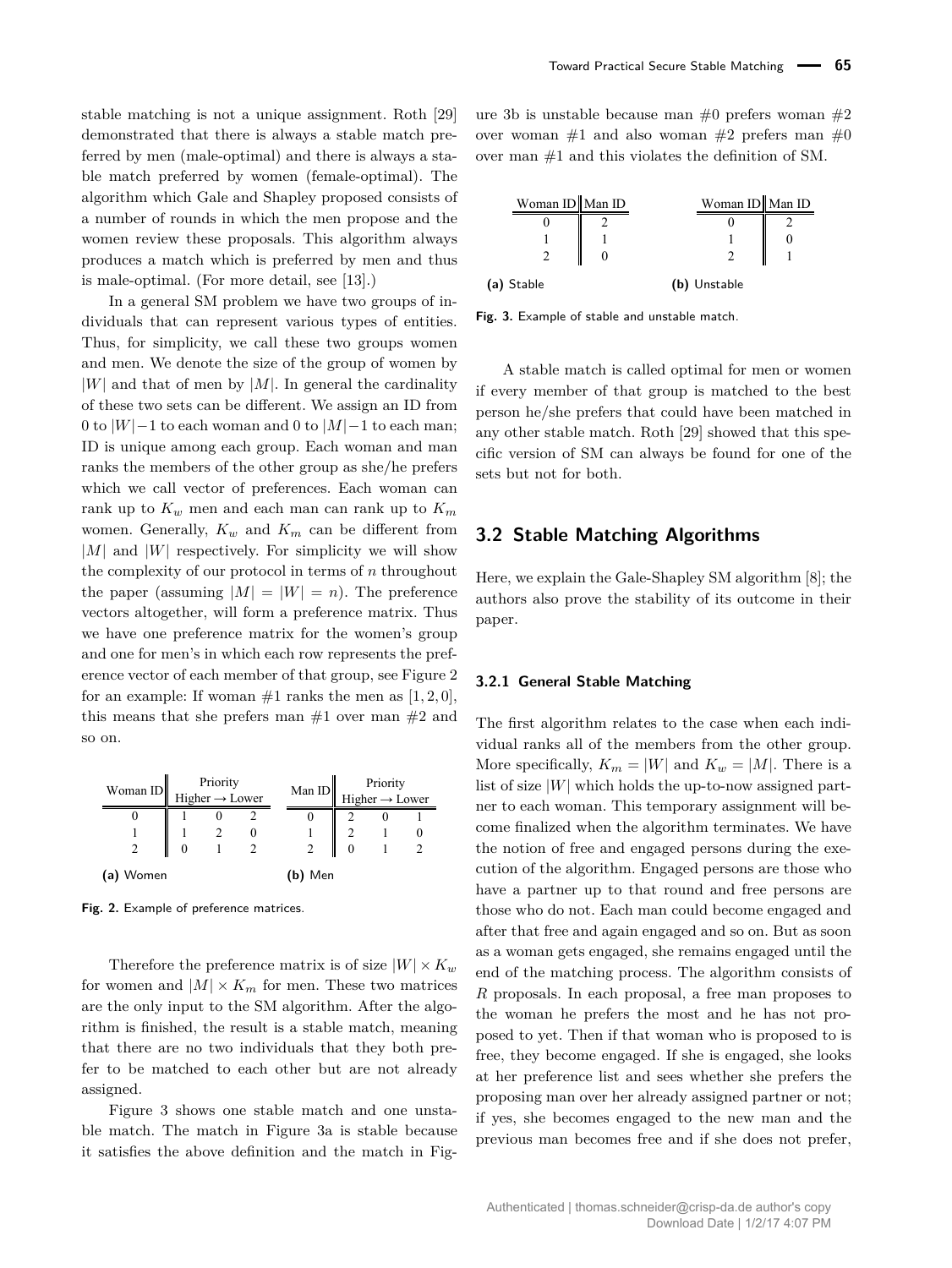stable matching is not a unique assignment. Roth [29] demonstrated that there is always a stable match preferred by men (male-optimal) and there is always a stable match preferred by women (female-optimal). The algorithm which Gale and Shapley proposed consists of a number of rounds in which the men propose and the women review these proposals. This algorithm always produces a match which is preferred by men and thus is male-optimal. (For more detail, see [13].)

In a general SM problem we have two groups of individuals that can represent various types of entities. Thus, for simplicity, we call these two groups women and men. We denote the size of the group of women by  $|W|$  and that of men by  $|M|$ . In general the cardinality of these two sets can be different. We assign an ID from 0 to |*W*|−1 to each woman and 0 to |*M*|−1 to each man; ID is unique among each group. Each woman and man ranks the members of the other group as she/he prefers which we call vector of preferences. Each woman can rank up to  $K_w$  men and each man can rank up to  $K_m$ women. Generally, *K<sup>w</sup>* and *K<sup>m</sup>* can be different from |*M*| and |*W*| respectively. For simplicity we will show the complexity of our protocol in terms of *n* throughout the paper (assuming  $|M| = |W| = n$ ). The preference vectors altogether, will form a preference matrix. Thus we have one preference matrix for the women's group and one for men's in which each row represents the preference vector of each member of that group, see Figure 2 for an example: If woman  $\#1$  ranks the men as  $[1, 2, 0]$ , this means that she prefers man  $#1$  over man  $#2$  and so on.

| Woman ID  | Priority<br>Higher $\rightarrow$ Lower |  | Man ID |             | Priority<br>Higher $\rightarrow$ Lower |  |  |
|-----------|----------------------------------------|--|--------|-------------|----------------------------------------|--|--|
|           |                                        |  |        | O           |                                        |  |  |
|           |                                        |  |        |             |                                        |  |  |
|           |                                        |  |        |             | $\Omega$                               |  |  |
| (a) Women |                                        |  |        | Men<br>(b). |                                        |  |  |

**Fig. 2.** Example of preference matrices.

Therefore the preference matrix is of size  $|W| \times K_w$ for women and  $|M| \times K_m$  for men. These two matrices are the only input to the SM algorithm. After the algorithm is finished, the result is a stable match, meaning that there are no two individuals that they both prefer to be matched to each other but are not already assigned.

Figure 3 shows one stable match and one unstable match. The match in Figure 3a is stable because it satisfies the above definition and the match in Figure 3b is unstable because man  $#0$  prefers woman  $#2$ over woman  $\#1$  and also woman  $\#2$  prefers man  $\#0$ over man #1 and this violates the definition of SM.

| Woman ID Man ID | Woman ID Man ID |  |
|-----------------|-----------------|--|
|                 |                 |  |
|                 |                 |  |
|                 |                 |  |
| (a) Stable      | (b) Unstable    |  |

**Fig. 3.** Example of stable and unstable match.

A stable match is called optimal for men or women if every member of that group is matched to the best person he/she prefers that could have been matched in any other stable match. Roth [29] showed that this specific version of SM can always be found for one of the sets but not for both.

#### **3.2 Stable Matching Algorithms**

Here, we explain the Gale-Shapley SM algorithm [8]; the authors also prove the stability of its outcome in their paper.

#### **3.2.1 General Stable Matching**

The first algorithm relates to the case when each individual ranks all of the members from the other group. More specifically,  $K_m = |W|$  and  $K_w = |M|$ . There is a list of size  $|W|$  which holds the up-to-now assigned partner to each woman. This temporary assignment will become finalized when the algorithm terminates. We have the notion of free and engaged persons during the execution of the algorithm. Engaged persons are those who have a partner up to that round and free persons are those who do not. Each man could become engaged and after that free and again engaged and so on. But as soon as a woman gets engaged, she remains engaged until the end of the matching process. The algorithm consists of *R* proposals. In each proposal, a free man proposes to the woman he prefers the most and he has not proposed to yet. Then if that woman who is proposed to is free, they become engaged. If she is engaged, she looks at her preference list and sees whether she prefers the proposing man over her already assigned partner or not; if yes, she becomes engaged to the new man and the previous man becomes free and if she does not prefer,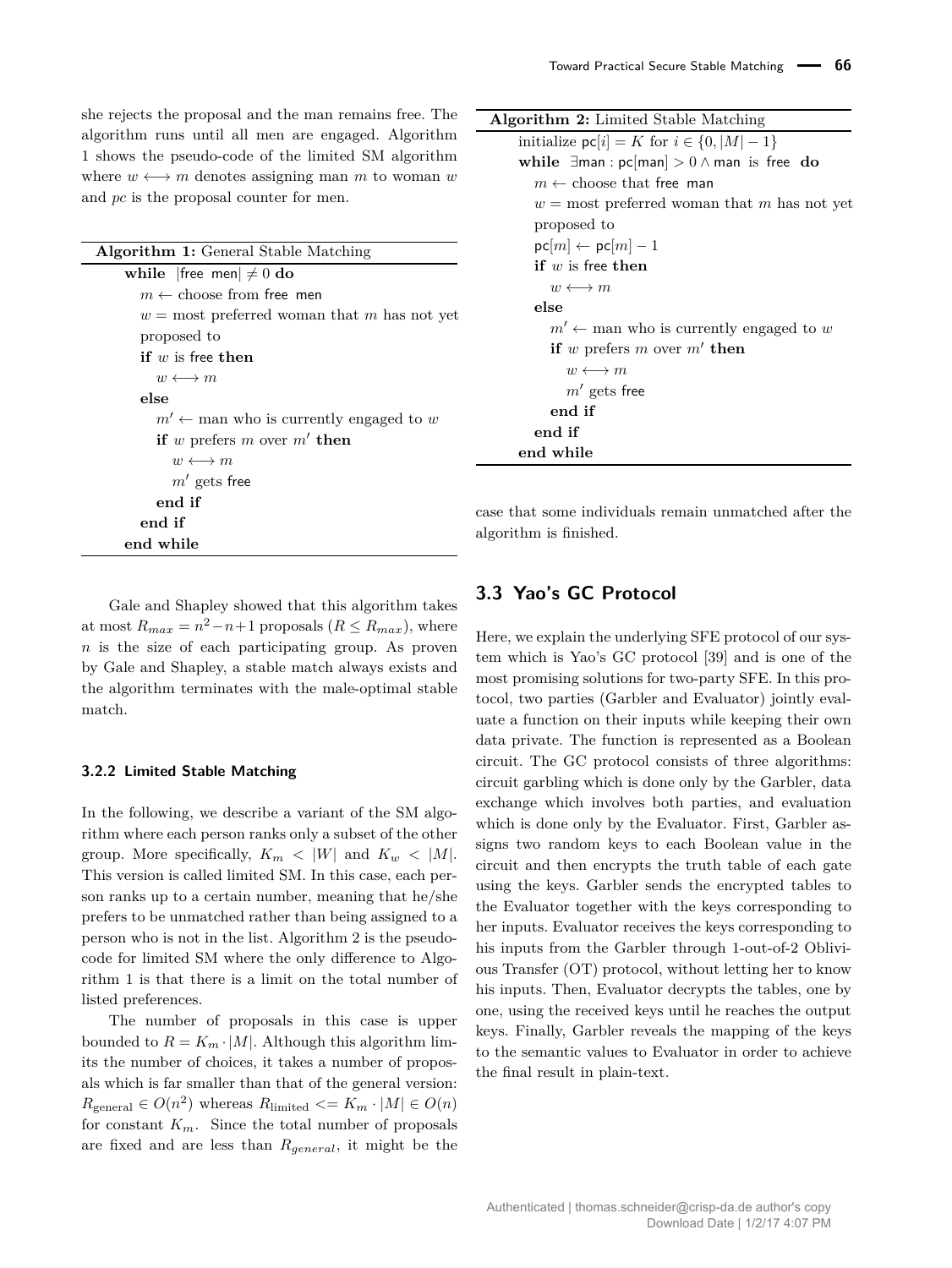she rejects the proposal and the man remains free. The algorithm runs until all men are engaged. Algorithm 1 shows the pseudo-code of the limited SM algorithm where  $w \leftrightarrow m$  denotes assigning man *m* to woman *w* and *pc* is the proposal counter for men.

| <b>Algorithm 1:</b> General Stable Matching       |
|---------------------------------------------------|
| while   free men  $\neq 0$ do                     |
| $m \leftarrow$ choose from free men               |
| $w =$ most preferred woman that m has not yet     |
| proposed to                                       |
| <b>if</b> $w$ is free then                        |
| $w \leftrightarrow m$                             |
| else                                              |
| $m' \leftarrow$ man who is currently engaged to w |
| if w prefers m over $m'$ then                     |
| $w \leftrightarrow m$                             |
| $m'$ gets free                                    |
| end if                                            |
| end if                                            |
| end while                                         |

Gale and Shapley showed that this algorithm takes at most  $R_{max} = n^2 - n + 1$  proposals ( $R \le R_{max}$ ), where *n* is the size of each participating group. As proven by Gale and Shapley, a stable match always exists and the algorithm terminates with the male-optimal stable match.

#### **3.2.2 Limited Stable Matching**

In the following, we describe a variant of the SM algorithm where each person ranks only a subset of the other group. More specifically,  $K_m < |W|$  and  $K_w < |M|$ . This version is called limited SM. In this case, each person ranks up to a certain number, meaning that he/she prefers to be unmatched rather than being assigned to a person who is not in the list. Algorithm 2 is the pseudocode for limited SM where the only difference to Algorithm 1 is that there is a limit on the total number of listed preferences.

The number of proposals in this case is upper bounded to  $R = K_m \cdot |M|$ . Although this algorithm limits the number of choices, it takes a number of proposals which is far smaller than that of the general version:  $R_{\text{general}} \in O(n^2)$  whereas  $R_{\text{limited}} \le K_m \cdot |M| \in O(n)$ for constant  $K_m$ . Since the total number of proposals are fixed and are less than *Rgeneral*, it might be the

**Algorithm 2:** Limited Stable Matching initialize  $\textsf{pc}[i] = K$  for  $i \in \{0, |M| - 1\}$ **while** ∃man : pc[man] *>* 0 ∧ man is free **do**  $m \leftarrow$  choose that free man  $w =$  most preferred woman that *m* has not yet proposed to  $pc[m] \leftarrow pc[m] - 1$ **if** *w* is free **then**  $w \longleftrightarrow m$ **else**  $m' \leftarrow$  man who is currently engaged to *w* **if**  $w$  prefers  $m$  over  $m'$  **then**  $w \longleftrightarrow m$  $m'$  gets free **end if end if end while**

case that some individuals remain unmatched after the algorithm is finished.

### **3.3 Yao's GC Protocol**

Here, we explain the underlying SFE protocol of our system which is Yao's GC protocol [39] and is one of the most promising solutions for two-party SFE. In this protocol, two parties (Garbler and Evaluator) jointly evaluate a function on their inputs while keeping their own data private. The function is represented as a Boolean circuit. The GC protocol consists of three algorithms: circuit garbling which is done only by the Garbler, data exchange which involves both parties, and evaluation which is done only by the Evaluator. First, Garbler assigns two random keys to each Boolean value in the circuit and then encrypts the truth table of each gate using the keys. Garbler sends the encrypted tables to the Evaluator together with the keys corresponding to her inputs. Evaluator receives the keys corresponding to his inputs from the Garbler through 1-out-of-2 Oblivious Transfer (OT) protocol, without letting her to know his inputs. Then, Evaluator decrypts the tables, one by one, using the received keys until he reaches the output keys. Finally, Garbler reveals the mapping of the keys to the semantic values to Evaluator in order to achieve the final result in plain-text.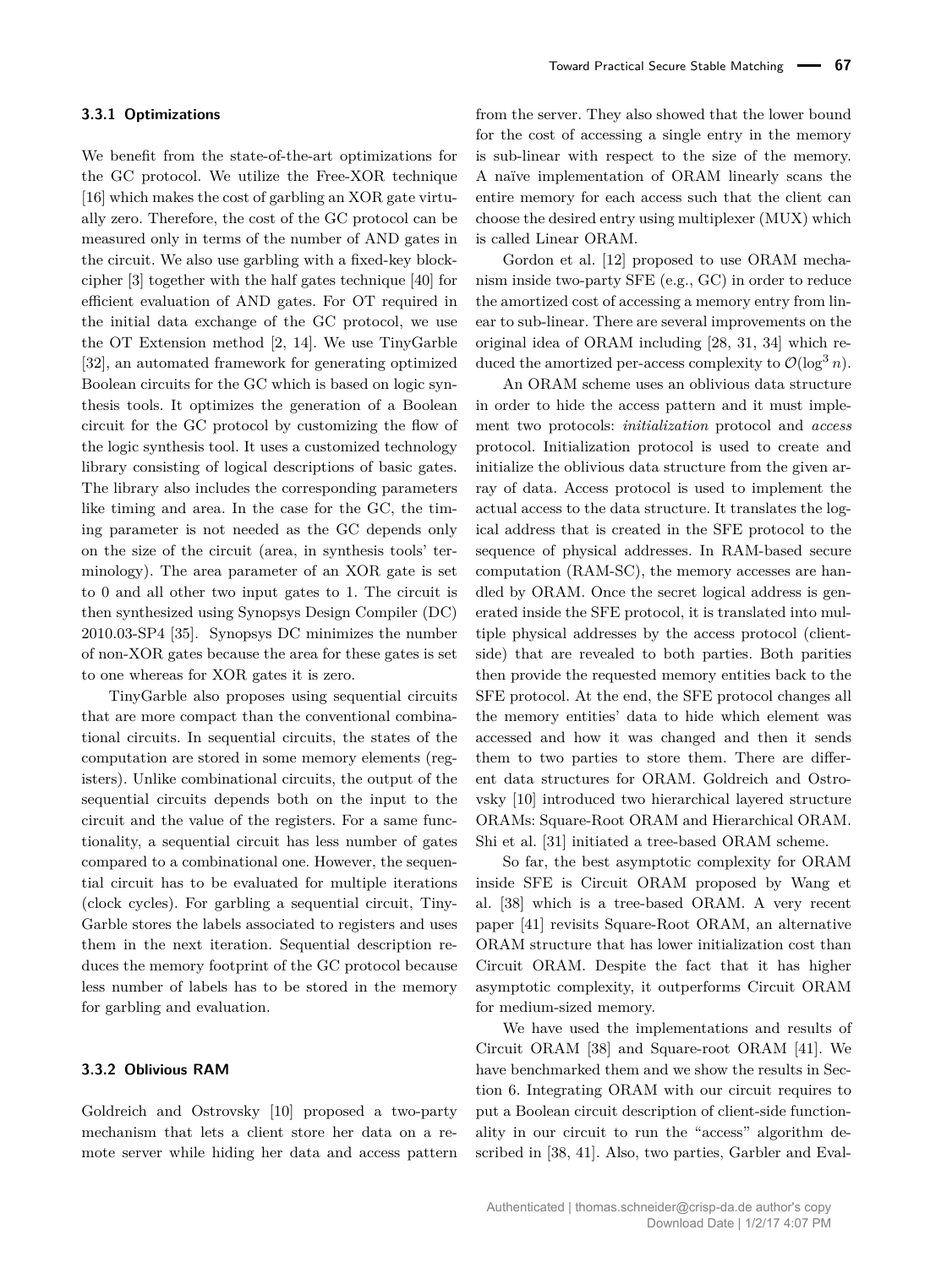We benefit from the state-of-the-art optimizations for the GC protocol. We utilize the Free-XOR technique [16] which makes the cost of garbling an XOR gate virtually zero. Therefore, the cost of the GC protocol can be measured only in terms of the number of AND gates in the circuit. We also use garbling with a fixed-key blockcipher [3] together with the half gates technique [40] for efficient evaluation of AND gates. For OT required in the initial data exchange of the GC protocol, we use the OT Extension method [2, 14]. We use TinyGarble [32], an automated framework for generating optimized Boolean circuits for the GC which is based on logic synthesis tools. It optimizes the generation of a Boolean circuit for the GC protocol by customizing the flow of the logic synthesis tool. It uses a customized technology library consisting of logical descriptions of basic gates. The library also includes the corresponding parameters like timing and area. In the case for the GC, the timing parameter is not needed as the GC depends only on the size of the circuit (area, in synthesis tools' terminology). The area parameter of an XOR gate is set to 0 and all other two input gates to 1. The circuit is then synthesized using Synopsys Design Compiler (DC) 2010.03-SP4 [35]. Synopsys DC minimizes the number of non-XOR gates because the area for these gates is set to one whereas for XOR gates it is zero.

TinyGarble also proposes using sequential circuits that are more compact than the conventional combinational circuits. In sequential circuits, the states of the computation are stored in some memory elements (registers). Unlike combinational circuits, the output of the sequential circuits depends both on the input to the circuit and the value of the registers. For a same functionality, a sequential circuit has less number of gates compared to a combinational one. However, the sequential circuit has to be evaluated for multiple iterations (clock cycles). For garbling a sequential circuit, Tiny-Garble stores the labels associated to registers and uses them in the next iteration. Sequential description reduces the memory footprint of the GC protocol because less number of labels has to be stored in the memory for garbling and evaluation.

#### **3.3.2 Oblivious RAM**

Goldreich and Ostrovsky [10] proposed a two-party mechanism that lets a client store her data on a remote server while hiding her data and access pattern from the server. They also showed that the lower bound for the cost of accessing a single entry in the memory is sub-linear with respect to the size of the memory. A naïve implementation of ORAM linearly scans the entire memory for each access such that the client can choose the desired entry using multiplexer (MUX) which is called Linear ORAM.

Gordon et al. [12] proposed to use ORAM mechanism inside two-party SFE (e.g., GC) in order to reduce the amortized cost of accessing a memory entry from linear to sub-linear. There are several improvements on the original idea of ORAM including [28, 31, 34] which reduced the amortized per-access complexity to  $\mathcal{O}(\log^3 n)$ .

An ORAM scheme uses an oblivious data structure in order to hide the access pattern and it must implement two protocols: *initialization* protocol and *access* protocol. Initialization protocol is used to create and initialize the oblivious data structure from the given array of data. Access protocol is used to implement the actual access to the data structure. It translates the logical address that is created in the SFE protocol to the sequence of physical addresses. In RAM-based secure computation (RAM-SC), the memory accesses are handled by ORAM. Once the secret logical address is generated inside the SFE protocol, it is translated into multiple physical addresses by the access protocol (clientside) that are revealed to both parties. Both parities then provide the requested memory entities back to the SFE protocol. At the end, the SFE protocol changes all the memory entities' data to hide which element was accessed and how it was changed and then it sends them to two parties to store them. There are different data structures for ORAM. Goldreich and Ostrovsky [10] introduced two hierarchical layered structure ORAMs: Square-Root ORAM and Hierarchical ORAM. Shi et al. [31] initiated a tree-based ORAM scheme.

So far, the best asymptotic complexity for ORAM inside SFE is Circuit ORAM proposed by Wang et al. [38] which is a tree-based ORAM. A very recent paper [41] revisits Square-Root ORAM, an alternative ORAM structure that has lower initialization cost than Circuit ORAM. Despite the fact that it has higher asymptotic complexity, it outperforms Circuit ORAM for medium-sized memory.

We have used the implementations and results of Circuit ORAM [38] and Square-root ORAM [41]. We have benchmarked them and we show the results in Section 6. Integrating ORAM with our circuit requires to put a Boolean circuit description of client-side functionality in our circuit to run the "access" algorithm described in [38, 41]. Also, two parties, Garbler and Eval-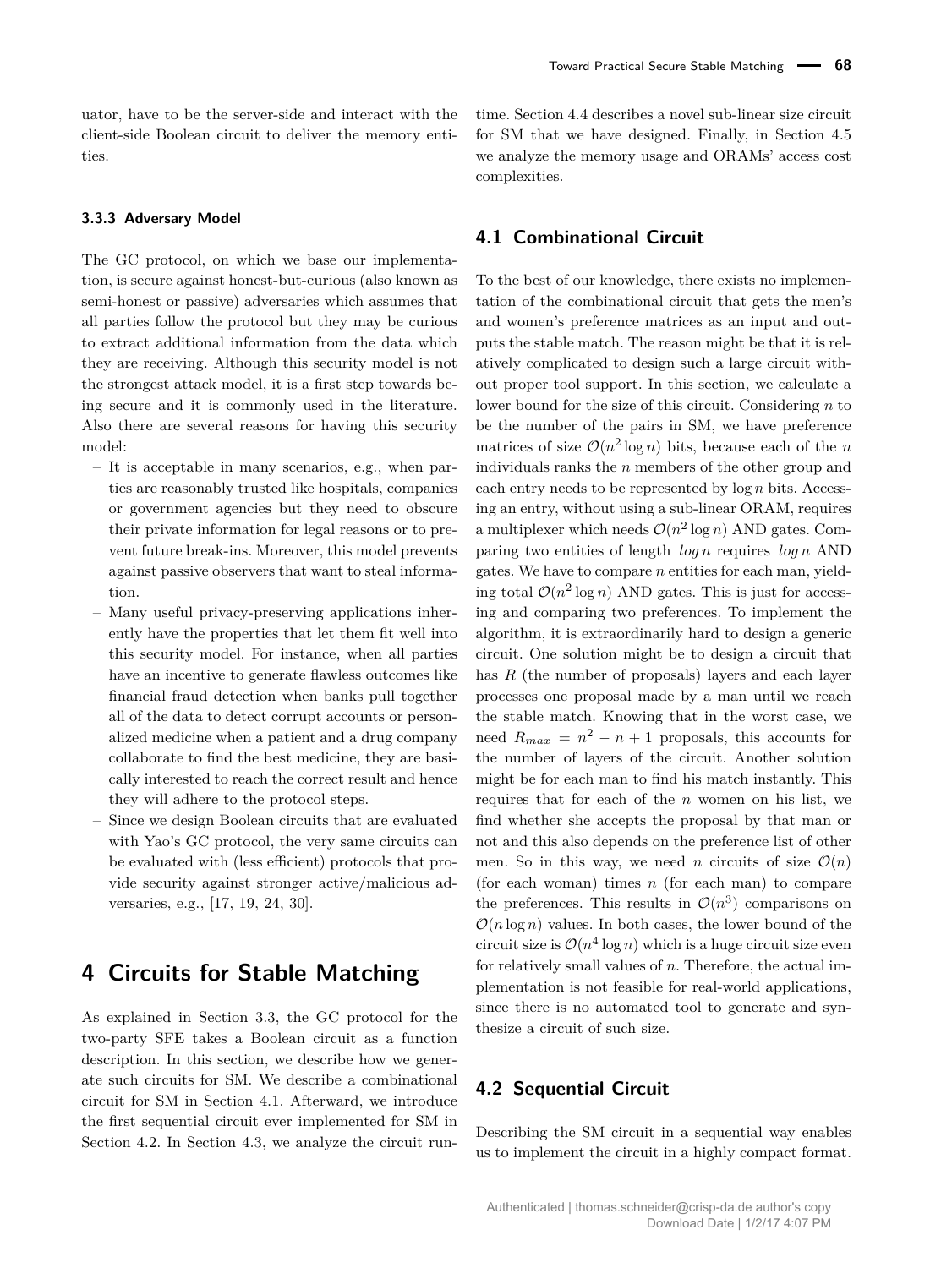uator, have to be the server-side and interact with the client-side Boolean circuit to deliver the memory entities.

#### **3.3.3 Adversary Model**

The GC protocol, on which we base our implementation, is secure against honest-but-curious (also known as semi-honest or passive) adversaries which assumes that all parties follow the protocol but they may be curious to extract additional information from the data which they are receiving. Although this security model is not the strongest attack model, it is a first step towards being secure and it is commonly used in the literature. Also there are several reasons for having this security model:

- It is acceptable in many scenarios, e.g., when parties are reasonably trusted like hospitals, companies or government agencies but they need to obscure their private information for legal reasons or to prevent future break-ins. Moreover, this model prevents against passive observers that want to steal information.
- Many useful privacy-preserving applications inherently have the properties that let them fit well into this security model. For instance, when all parties have an incentive to generate flawless outcomes like financial fraud detection when banks pull together all of the data to detect corrupt accounts or personalized medicine when a patient and a drug company collaborate to find the best medicine, they are basically interested to reach the correct result and hence they will adhere to the protocol steps.
- Since we design Boolean circuits that are evaluated with Yao's GC protocol, the very same circuits can be evaluated with (less efficient) protocols that provide security against stronger active/malicious adversaries, e.g., [17, 19, 24, 30].

# **4 Circuits for Stable Matching**

As explained in Section 3.3, the GC protocol for the two-party SFE takes a Boolean circuit as a function description. In this section, we describe how we generate such circuits for SM. We describe a combinational circuit for SM in Section 4.1. Afterward, we introduce the first sequential circuit ever implemented for SM in Section 4.2. In Section 4.3, we analyze the circuit runtime. Section 4.4 describes a novel sub-linear size circuit for SM that we have designed. Finally, in Section 4.5 we analyze the memory usage and ORAMs' access cost complexities.

### **4.1 Combinational Circuit**

To the best of our knowledge, there exists no implementation of the combinational circuit that gets the men's and women's preference matrices as an input and outputs the stable match. The reason might be that it is relatively complicated to design such a large circuit without proper tool support. In this section, we calculate a lower bound for the size of this circuit. Considering *n* to be the number of the pairs in SM, we have preference matrices of size  $\mathcal{O}(n^2 \log n)$  bits, because each of the *n* individuals ranks the *n* members of the other group and each entry needs to be represented by log *n* bits. Accessing an entry, without using a sub-linear ORAM, requires a multiplexer which needs  $\mathcal{O}(n^2 \log n)$  AND gates. Comparing two entities of length *log n* requires *log n* AND gates. We have to compare *n* entities for each man, yielding total  $\mathcal{O}(n^2 \log n)$  AND gates. This is just for accessing and comparing two preferences. To implement the algorithm, it is extraordinarily hard to design a generic circuit. One solution might be to design a circuit that has *R* (the number of proposals) layers and each layer processes one proposal made by a man until we reach the stable match. Knowing that in the worst case, we need  $R_{max} = n^2 - n + 1$  proposals, this accounts for the number of layers of the circuit. Another solution might be for each man to find his match instantly. This requires that for each of the *n* women on his list, we find whether she accepts the proposal by that man or not and this also depends on the preference list of other men. So in this way, we need *n* circuits of size  $\mathcal{O}(n)$ (for each woman) times *n* (for each man) to compare the preferences. This results in  $\mathcal{O}(n^3)$  comparisons on  $\mathcal{O}(n \log n)$  values. In both cases, the lower bound of the circuit size is  $\mathcal{O}(n^4 \log n)$  which is a huge circuit size even for relatively small values of *n*. Therefore, the actual implementation is not feasible for real-world applications, since there is no automated tool to generate and synthesize a circuit of such size.

### **4.2 Sequential Circuit**

Describing the SM circuit in a sequential way enables us to implement the circuit in a highly compact format.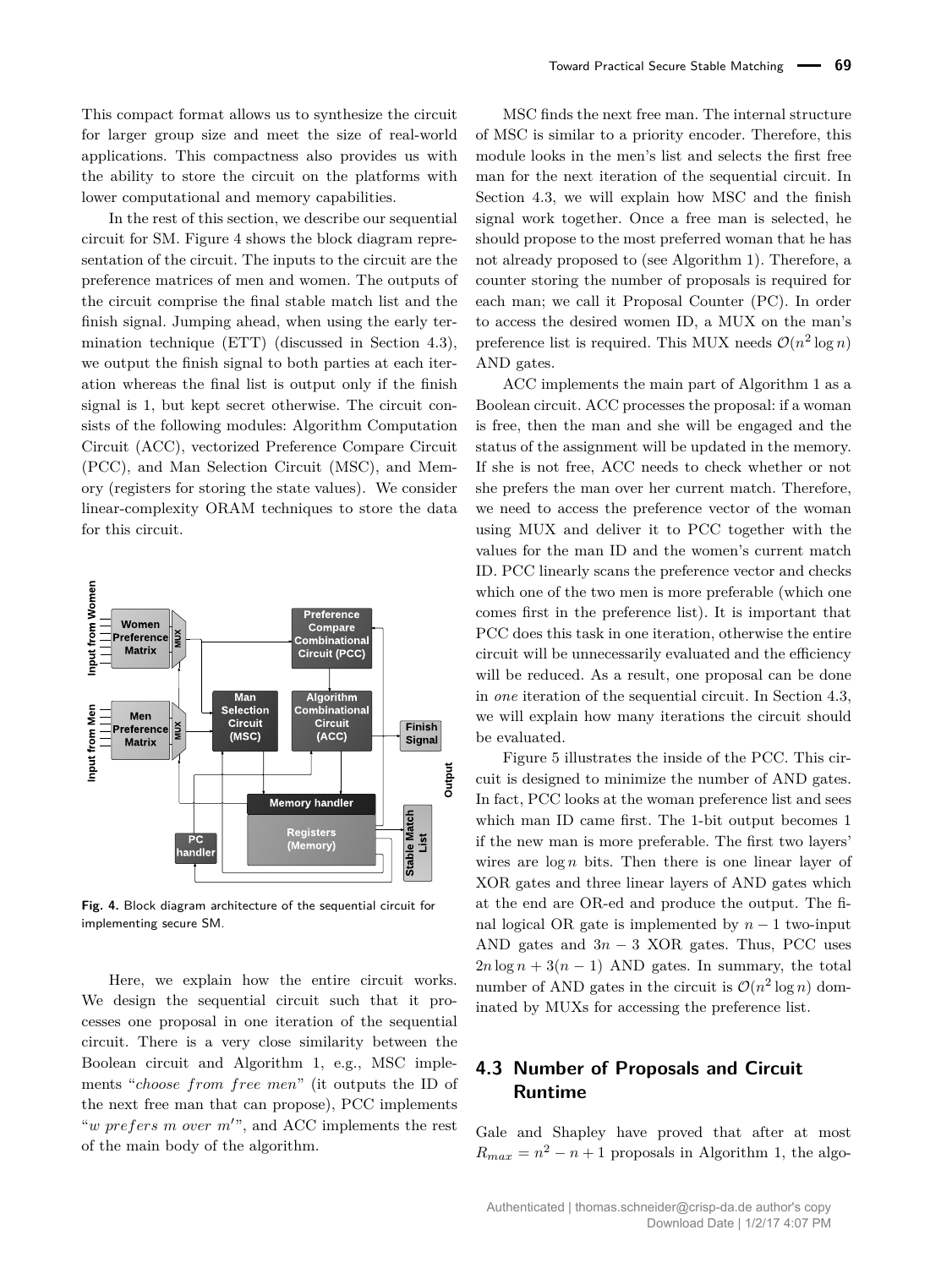This compact format allows us to synthesize the circuit for larger group size and meet the size of real-world applications. This compactness also provides us with the ability to store the circuit on the platforms with lower computational and memory capabilities.

In the rest of this section, we describe our sequential circuit for SM. Figure 4 shows the block diagram representation of the circuit. The inputs to the circuit are the preference matrices of men and women. The outputs of the circuit comprise the final stable match list and the finish signal. Jumping ahead, when using the early termination technique (ETT) (discussed in Section 4.3), we output the finish signal to both parties at each iteration whereas the final list is output only if the finish signal is 1, but kept secret otherwise. The circuit consists of the following modules: Algorithm Computation Circuit (ACC), vectorized Preference Compare Circuit (PCC), and Man Selection Circuit (MSC), and Memory (registers for storing the state values). We consider linear-complexity ORAM techniques to store the data for this circuit.



**Fig. 4.** Block diagram architecture of the sequential circuit for implementing secure SM.

Here, we explain how the entire circuit works. We design the sequential circuit such that it processes one proposal in one iteration of the sequential circuit. There is a very close similarity between the Boolean circuit and Algorithm 1, e.g., MSC implements "*choose from free men*" (it outputs the ID of the next free man that can propose), PCC implements " $$ of the main body of the algorithm.

MSC finds the next free man. The internal structure of MSC is similar to a priority encoder. Therefore, this module looks in the men's list and selects the first free man for the next iteration of the sequential circuit. In Section 4.3, we will explain how MSC and the finish signal work together. Once a free man is selected, he should propose to the most preferred woman that he has not already proposed to (see Algorithm 1). Therefore, a counter storing the number of proposals is required for each man; we call it Proposal Counter (PC). In order to access the desired women ID, a MUX on the man's preference list is required. This MUX needs  $\mathcal{O}(n^2 \log n)$ AND gates.

ACC implements the main part of Algorithm 1 as a Boolean circuit. ACC processes the proposal: if a woman is free, then the man and she will be engaged and the status of the assignment will be updated in the memory. If she is not free, ACC needs to check whether or not she prefers the man over her current match. Therefore, we need to access the preference vector of the woman using MUX and deliver it to PCC together with the values for the man ID and the women's current match ID. PCC linearly scans the preference vector and checks which one of the two men is more preferable (which one comes first in the preference list). It is important that PCC does this task in one iteration, otherwise the entire circuit will be unnecessarily evaluated and the efficiency will be reduced. As a result, one proposal can be done in *one* iteration of the sequential circuit. In Section 4.3, we will explain how many iterations the circuit should be evaluated.

 XOR gates and three linear layers of AND gates which wires are  $\log n$  bits. Then there is one linear layer of In fact, PCC looks at the woman preference list and sees  $\frac{1}{2}$  cuit is designed to minimize the number of AND gates. Figure 5 illustrates the inside of the PCC. This cirwhich man ID came first. The 1-bit output becomes 1 if the new man is more preferable. The first two layers' at the end are OR-ed and produce the output. The final logical OR gate is implemented by  $n-1$  two-input AND gates and  $3n - 3$  XOR gates. Thus, PCC uses  $2n \log n + 3(n-1)$  AND gates. In summary, the total number of AND gates in the circuit is  $\mathcal{O}(n^2 \log n)$  dominated by MUXs for accessing the preference list.

# **4.3 Number of Proposals and Circuit Runtime**

Gale and Shapley have proved that after at most  $R_{max} = n^2 - n + 1$  proposals in Algorithm 1, the algo-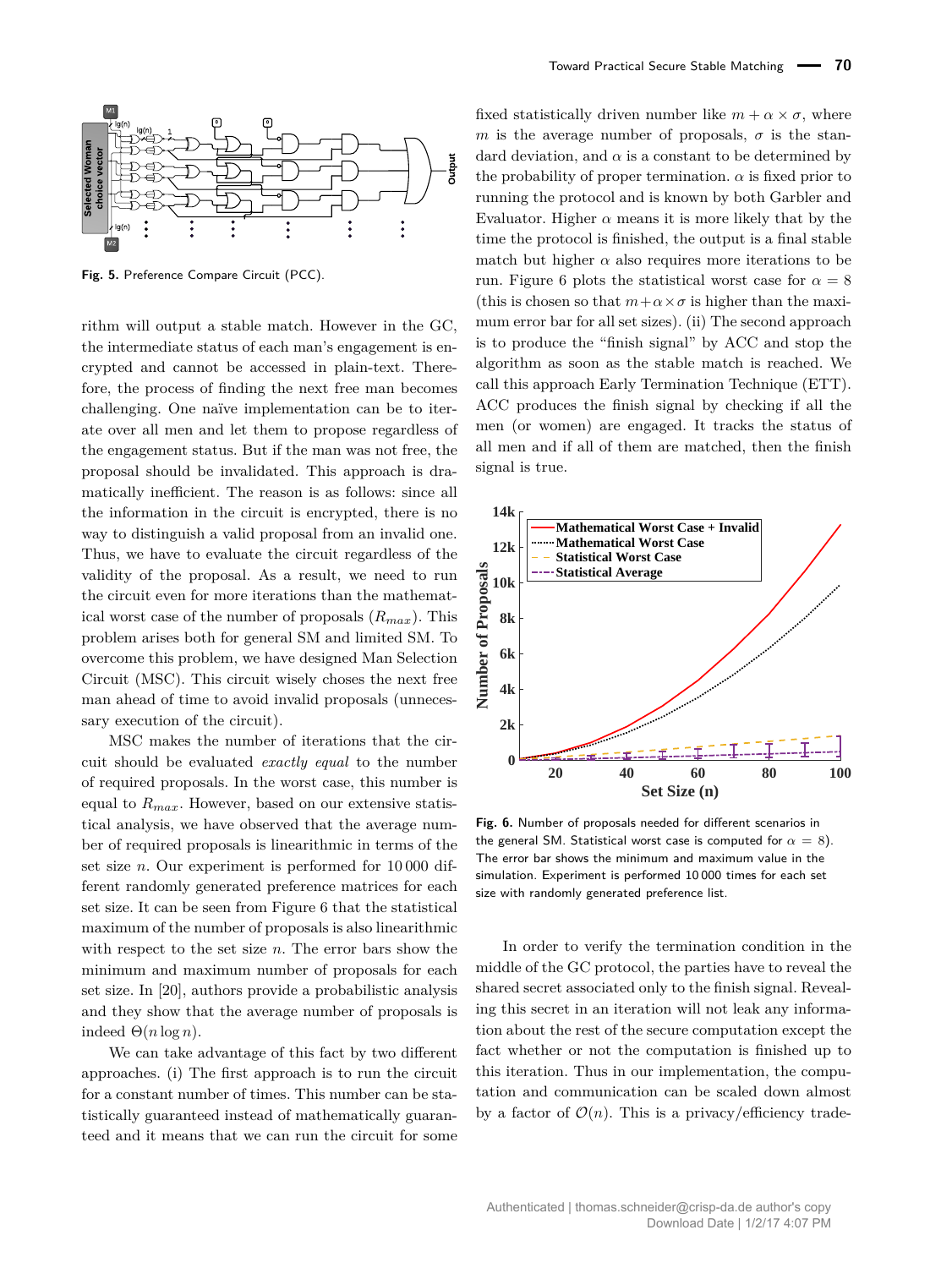

**Fig. 5.** Preference Compare Circuit (PCC).

rithm will output a stable match. However in the GC, the intermediate status of each man's engagement is encrypted and cannot be accessed in plain-text. Therefore, the process of finding the next free man becomes challenging. One naïve implementation can be to iterate over all men and let them to propose regardless of the engagement status. But if the man was not free, the proposal should be invalidated. This approach is dramatically inefficient. The reason is as follows: since all the information in the circuit is encrypted, there is no way to distinguish a valid proposal from an invalid one. Thus, we have to evaluate the circuit regardless of the validity of the proposal. As a result, we need to run the circuit even for more iterations than the mathematical worst case of the number of proposals (*Rmax*). This problem arises both for general SM and limited SM. To overcome this problem, we have designed Man Selection Circuit (MSC). This circuit wisely choses the next free man ahead of time to avoid invalid proposals (unnecessary execution of the circuit).

MSC makes the number of iterations that the circuit should be evaluated *exactly equal* to the number of required proposals. In the worst case, this number is equal to *Rmax*. However, based on our extensive statistical analysis, we have observed that the average number of required proposals is linearithmic in terms of the set size *n*. Our experiment is performed for 10 000 different randomly generated preference matrices for each set size. It can be seen from Figure 6 that the statistical maximum of the number of proposals is also linearithmic with respect to the set size *n*. The error bars show the minimum and maximum number of proposals for each set size. In [20], authors provide a probabilistic analysis and they show that the average number of proposals is indeed  $\Theta(n \log n)$ .

We can take advantage of this fact by two different approaches. (i) The first approach is to run the circuit for a constant number of times. This number can be statistically guaranteed instead of mathematically guaranteed and it means that we can run the circuit for some

the probability of proper termination.  $\alpha$  is fixed prior to dard deviation, and  $\alpha$  is a constant to be determined by fixed statistically driven number like  $m + \alpha \times \sigma$ , where *m* is the average number of proposals,  $\sigma$  is the stanrunning the protocol and is known by both Garbler and Evaluator. Higher  $\alpha$  means it is more likely that by the time the protocol is finished, the output is a final stable match but higher  $\alpha$  also requires more iterations to be run. Figure 6 plots the statistical worst case for  $\alpha = 8$ (this is chosen so that  $m + \alpha \times \sigma$  is higher than the maximum error bar for all set sizes). (ii) The second approach is to produce the "finish signal" by ACC and stop the algorithm as soon as the stable match is reached. We call this approach Early Termination Technique (ETT). ACC produces the finish signal by checking if all the men (or women) are engaged. It tracks the status of all men and if all of them are matched, then the finish signal is true.



**Fig. 6.** Number of proposals needed for different scenarios in the general SM. Statistical worst case is computed for  $\alpha = 8$ ). The error bar shows the minimum and maximum value in the simulation. Experiment is performed 10 000 times for each set size with randomly generated preference list.

In order to verify the termination condition in the middle of the GC protocol, the parties have to reveal the shared secret associated only to the finish signal. Revealing this secret in an iteration will not leak any information about the rest of the secure computation except the fact whether or not the computation is finished up to this iteration. Thus in our implementation, the computation and communication can be scaled down almost by a factor of  $\mathcal{O}(n)$ . This is a privacy/efficiency trade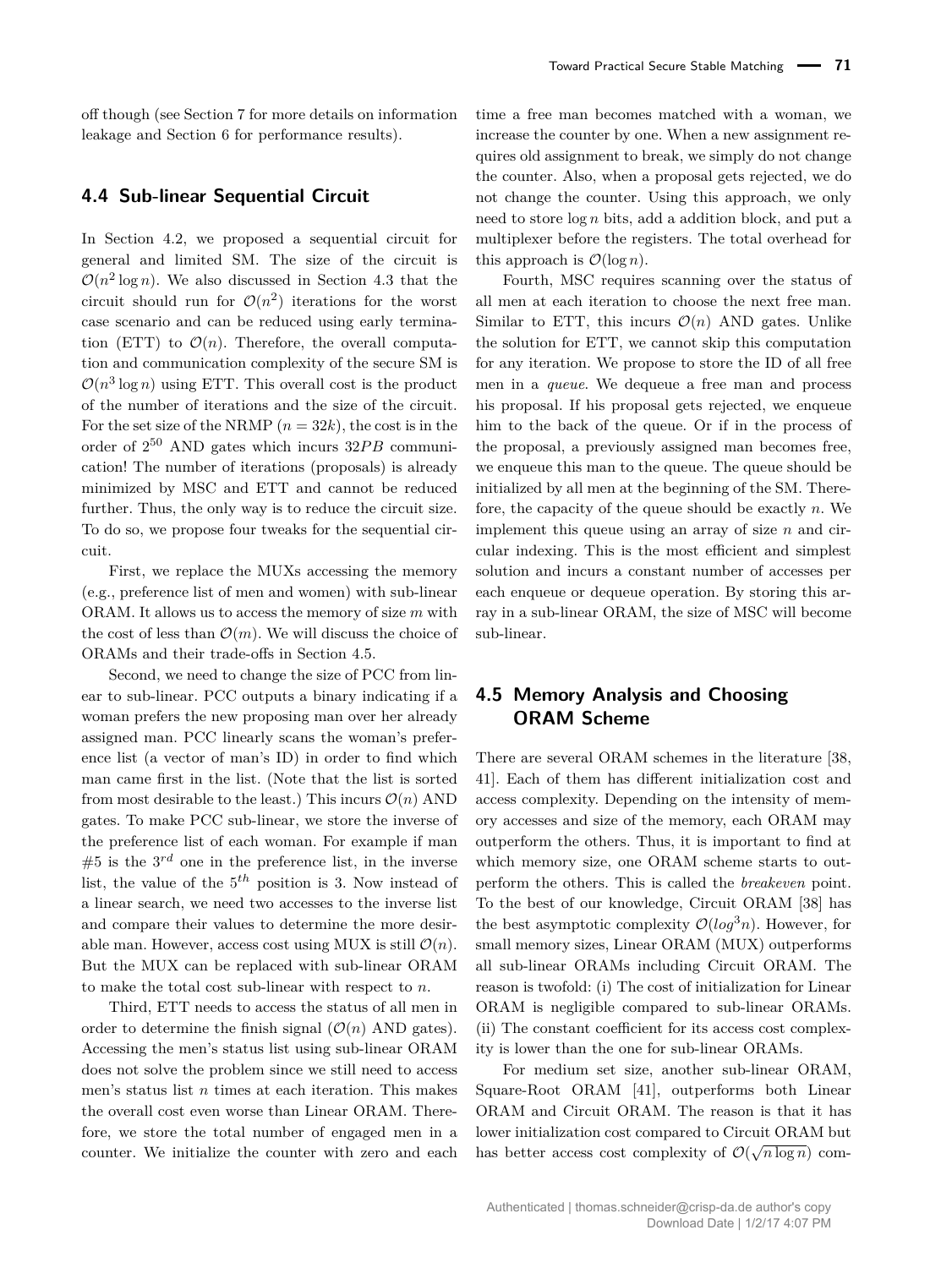off though (see Section 7 for more details on information leakage and Section 6 for performance results).

### **4.4 Sub-linear Sequential Circuit**

In Section 4.2, we proposed a sequential circuit for general and limited SM. The size of the circuit is  $\mathcal{O}(n^2 \log n)$ . We also discussed in Section 4.3 that the circuit should run for  $\mathcal{O}(n^2)$  iterations for the worst case scenario and can be reduced using early termination (ETT) to  $\mathcal{O}(n)$ . Therefore, the overall computation and communication complexity of the secure SM is  $\mathcal{O}(n^3 \log n)$  using ETT. This overall cost is the product of the number of iterations and the size of the circuit. For the set size of the NRMP  $(n = 32k)$ , the cost is in the order of  $2^{50}$  AND gates which incurs  $32PB$  communication! The number of iterations (proposals) is already minimized by MSC and ETT and cannot be reduced further. Thus, the only way is to reduce the circuit size. To do so, we propose four tweaks for the sequential circuit.

First, we replace the MUXs accessing the memory (e.g., preference list of men and women) with sub-linear ORAM. It allows us to access the memory of size *m* with the cost of less than  $\mathcal{O}(m)$ . We will discuss the choice of ORAMs and their trade-offs in Section 4.5.

Second, we need to change the size of PCC from linear to sub-linear. PCC outputs a binary indicating if a woman prefers the new proposing man over her already assigned man. PCC linearly scans the woman's preference list (a vector of man's ID) in order to find which man came first in the list. (Note that the list is sorted from most desirable to the least.) This incurs  $\mathcal{O}(n)$  AND gates. To make PCC sub-linear, we store the inverse of the preference list of each woman. For example if man  $#5$  is the  $3^{rd}$  one in the preference list, in the inverse list, the value of the 5 *th* position is 3. Now instead of a linear search, we need two accesses to the inverse list and compare their values to determine the more desirable man. However, access cost using MUX is still  $\mathcal{O}(n)$ . But the MUX can be replaced with sub-linear ORAM to make the total cost sub-linear with respect to *n*.

Third, ETT needs to access the status of all men in order to determine the finish signal  $(\mathcal{O}(n)$  AND gates). Accessing the men's status list using sub-linear ORAM does not solve the problem since we still need to access men's status list *n* times at each iteration. This makes the overall cost even worse than Linear ORAM. Therefore, we store the total number of engaged men in a counter. We initialize the counter with zero and each

time a free man becomes matched with a woman, we increase the counter by one. When a new assignment requires old assignment to break, we simply do not change the counter. Also, when a proposal gets rejected, we do not change the counter. Using this approach, we only need to store log *n* bits, add a addition block, and put a multiplexer before the registers. The total overhead for this approach is  $\mathcal{O}(\log n)$ .

Fourth, MSC requires scanning over the status of all men at each iteration to choose the next free man. Similar to ETT, this incurs  $\mathcal{O}(n)$  AND gates. Unlike the solution for ETT, we cannot skip this computation for any iteration. We propose to store the ID of all free men in a *queue*. We dequeue a free man and process his proposal. If his proposal gets rejected, we enqueue him to the back of the queue. Or if in the process of the proposal, a previously assigned man becomes free, we enqueue this man to the queue. The queue should be initialized by all men at the beginning of the SM. Therefore, the capacity of the queue should be exactly *n*. We implement this queue using an array of size *n* and circular indexing. This is the most efficient and simplest solution and incurs a constant number of accesses per each enqueue or dequeue operation. By storing this array in a sub-linear ORAM, the size of MSC will become sub-linear.

# **4.5 Memory Analysis and Choosing ORAM Scheme**

There are several ORAM schemes in the literature [38, 41]. Each of them has different initialization cost and access complexity. Depending on the intensity of memory accesses and size of the memory, each ORAM may outperform the others. Thus, it is important to find at which memory size, one ORAM scheme starts to outperform the others. This is called the *breakeven* point. To the best of our knowledge, Circuit ORAM [38] has the best asymptotic complexity  $\mathcal{O}(log^3 n)$ . However, for small memory sizes, Linear ORAM (MUX) outperforms all sub-linear ORAMs including Circuit ORAM. The reason is twofold: (i) The cost of initialization for Linear ORAM is negligible compared to sub-linear ORAMs. (ii) The constant coefficient for its access cost complexity is lower than the one for sub-linear ORAMs.

For medium set size, another sub-linear ORAM, Square-Root ORAM [41], outperforms both Linear ORAM and Circuit ORAM. The reason is that it has lower initialization cost compared to Circuit ORAM but has better access cost complexity of  $\mathcal{O}(\sqrt{n \log n})$  com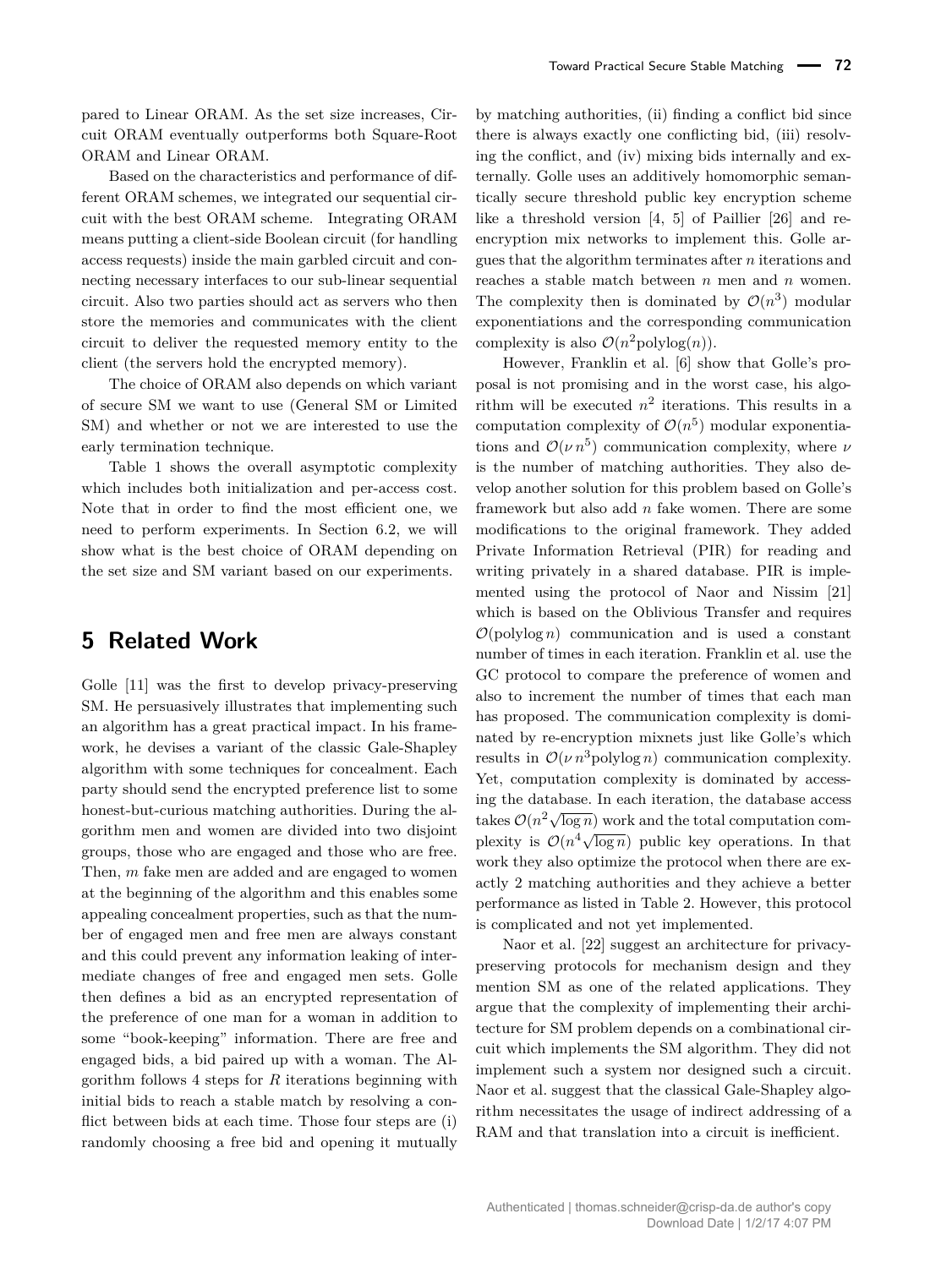pared to Linear ORAM. As the set size increases, Circuit ORAM eventually outperforms both Square-Root ORAM and Linear ORAM.

Based on the characteristics and performance of different ORAM schemes, we integrated our sequential circuit with the best ORAM scheme. Integrating ORAM means putting a client-side Boolean circuit (for handling access requests) inside the main garbled circuit and connecting necessary interfaces to our sub-linear sequential circuit. Also two parties should act as servers who then store the memories and communicates with the client circuit to deliver the requested memory entity to the client (the servers hold the encrypted memory).

The choice of ORAM also depends on which variant of secure SM we want to use (General SM or Limited SM) and whether or not we are interested to use the early termination technique.

Table 1 shows the overall asymptotic complexity which includes both initialization and per-access cost. Note that in order to find the most efficient one, we need to perform experiments. In Section 6.2, we will show what is the best choice of ORAM depending on the set size and SM variant based on our experiments.

# **5 Related Work**

Golle [11] was the first to develop privacy-preserving SM. He persuasively illustrates that implementing such an algorithm has a great practical impact. In his framework, he devises a variant of the classic Gale-Shapley algorithm with some techniques for concealment. Each party should send the encrypted preference list to some honest-but-curious matching authorities. During the algorithm men and women are divided into two disjoint groups, those who are engaged and those who are free. Then, *m* fake men are added and are engaged to women at the beginning of the algorithm and this enables some appealing concealment properties, such as that the number of engaged men and free men are always constant and this could prevent any information leaking of intermediate changes of free and engaged men sets. Golle then defines a bid as an encrypted representation of the preference of one man for a woman in addition to some "book-keeping" information. There are free and engaged bids, a bid paired up with a woman. The Algorithm follows 4 steps for *R* iterations beginning with initial bids to reach a stable match by resolving a conflict between bids at each time. Those four steps are (i) randomly choosing a free bid and opening it mutually

by matching authorities, (ii) finding a conflict bid since there is always exactly one conflicting bid, (iii) resolving the conflict, and (iv) mixing bids internally and externally. Golle uses an additively homomorphic semantically secure threshold public key encryption scheme like a threshold version [4, 5] of Paillier [26] and reencryption mix networks to implement this. Golle argues that the algorithm terminates after *n* iterations and reaches a stable match between *n* men and *n* women. The complexity then is dominated by  $\mathcal{O}(n^3)$  modular exponentiations and the corresponding communication complexity is also  $\mathcal{O}(n^2 \text{polylog}(n)).$ 

However, Franklin et al. [6] show that Golle's proposal is not promising and in the worst case, his algorithm will be executed  $n^2$  iterations. This results in a computation complexity of  $\mathcal{O}(n^5)$  modular exponentiations and  $\mathcal{O}(\nu n^5)$  communication complexity, where *ν* is the number of matching authorities. They also develop another solution for this problem based on Golle's framework but also add *n* fake women. There are some modifications to the original framework. They added Private Information Retrieval (PIR) for reading and writing privately in a shared database. PIR is implemented using the protocol of Naor and Nissim [21] which is based on the Oblivious Transfer and requires  $\mathcal{O}(\text{polylog } n)$  communication and is used a constant number of times in each iteration. Franklin et al. use the GC protocol to compare the preference of women and also to increment the number of times that each man has proposed. The communication complexity is dominated by re-encryption mixnets just like Golle's which results in  $\mathcal{O}(\nu n^3)$  polylog *n*) communication complexity. Yet, computation complexity is dominated by accessing the database. In each iteration, the database access takes  $O(n^2\sqrt{\log n})$  work and the total computation complexity is  $O(n^4 \sqrt{\log n})$  public key operations. In that work they also optimize the protocol when there are exactly 2 matching authorities and they achieve a better performance as listed in Table 2. However, this protocol is complicated and not yet implemented.

Naor et al. [22] suggest an architecture for privacypreserving protocols for mechanism design and they mention SM as one of the related applications. They argue that the complexity of implementing their architecture for SM problem depends on a combinational circuit which implements the SM algorithm. They did not implement such a system nor designed such a circuit. Naor et al. suggest that the classical Gale-Shapley algorithm necessitates the usage of indirect addressing of a RAM and that translation into a circuit is inefficient.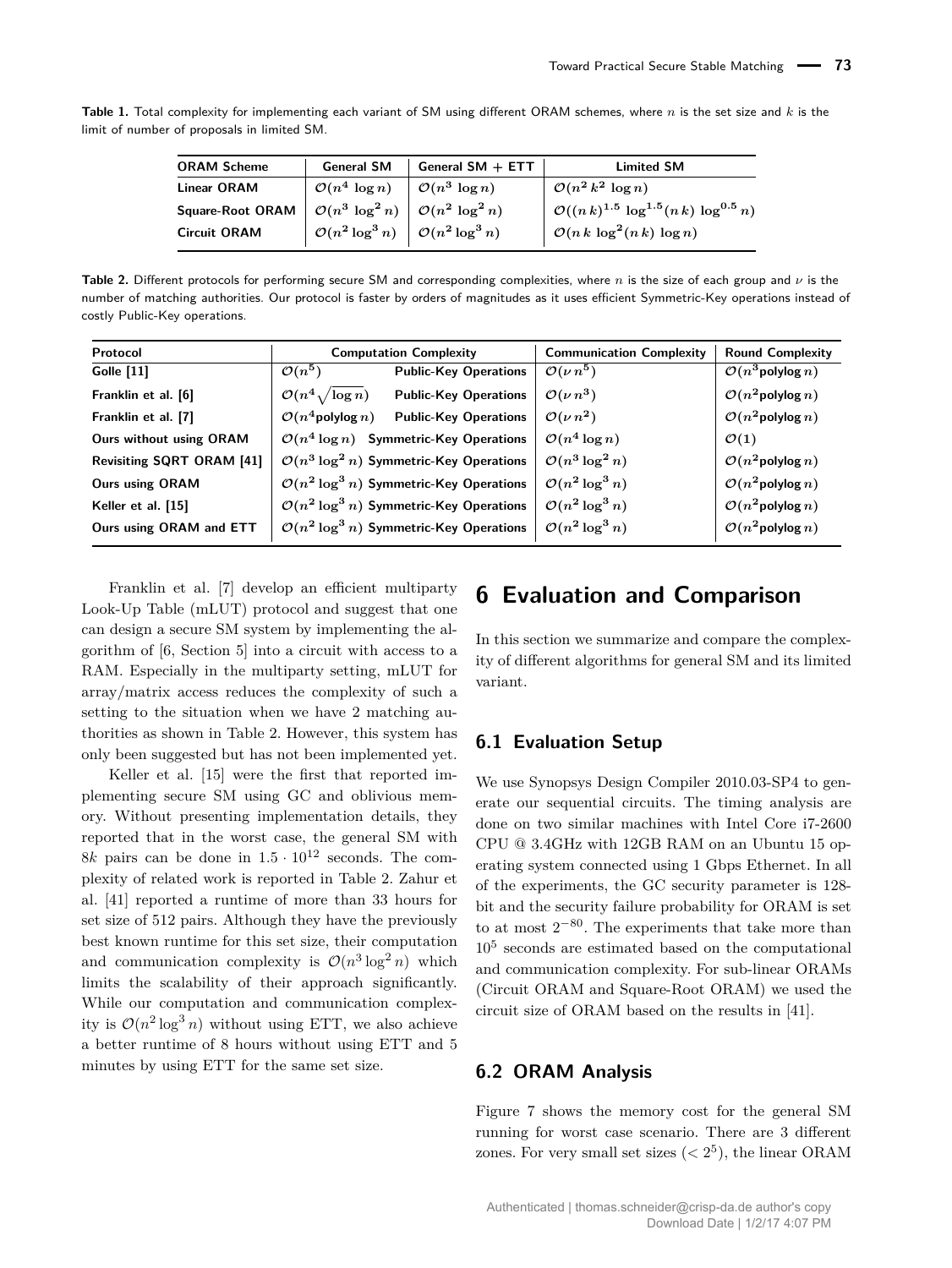**Table 1.** Total complexity for implementing each variant of SM using different ORAM schemes, where *n* is the set size and *k* is the limit of number of proposals in limited SM.

| <b>ORAM Scheme</b>      | <b>General SM</b>                                               | General $SM + ETT$        | <b>Limited SM</b>                                       |
|-------------------------|-----------------------------------------------------------------|---------------------------|---------------------------------------------------------|
| <b>Linear ORAM</b>      | $\mathcal{O}(n^4 \log n)$                                       | $\mathcal{O}(n^3 \log n)$ | $\mathcal{O}(n^2 k^2 \log n)$                           |
| <b>Square-Root ORAM</b> | $\mathcal{O}(n^3 \log^2 n) \mid \mathcal{O}(n^2 \log^2 n)$      |                           | $\mathcal{O}((n k)^{1.5} \log^{1.5}(n k) \log^{0.5} n)$ |
| <b>Circuit ORAM</b>     | $\mathcal{O}(n^2 \log^3 n) \ \big  \ \mathcal{O}(n^2 \log^3 n)$ |                           | $\mathcal{O}(n k \log^2(n k) \log n)$                   |

**Table 2.** Different protocols for performing secure SM and corresponding complexities, where *n* is the size of each group and *ν* is the number of matching authorities. Our protocol is faster by orders of magnitudes as it uses efficient Symmetric-Key operations instead of costly Public-Key operations.

| Protocol                  | <b>Computation Complexity</b>                                    | <b>Communication Complexity</b> | <b>Round Complexity</b>         |
|---------------------------|------------------------------------------------------------------|---------------------------------|---------------------------------|
| Golle $[11]$              | $\mathcal{O}(n^5)$<br><b>Public-Key Operations</b>               | $\mathcal{O}(\nu n^5)$          | $\mathcal{O}(n^3)$ polylog $n)$ |
| Franklin et al. [6]       | $\mathcal{O}(n^4 \sqrt{\log n})$<br><b>Public-Key Operations</b> | $\mathcal{O}(\nu n^3)$          | $\mathcal{O}(n^2)$ polylog $n)$ |
| Franklin et al. [7]       | $\mathcal{O}(n^4$ polylog $n)$<br><b>Public-Key Operations</b>   | $\mathcal{O}(\nu n^2)$          | $\mathcal{O}(n^2)$ polylog $n)$ |
| Ours without using ORAM   | $\mathcal{O}(n^4 \log n)$ Symmetric-Key Operations               | $\mathcal{O}(n^4 \log n)$       | $\mathcal{O}(1)$                |
| Revisiting SQRT ORAM [41] | $\mathcal{O}(n^3 \log^2 n)$ Symmetric-Key Operations             | $\mathcal{O}(n^3 \log^2 n)$     | $\mathcal{O}(n^2)$ polylog $n)$ |
| <b>Ours using ORAM</b>    | $\mathcal{O}(n^2 \log^3 n)$ Symmetric-Key Operations             | $\mathcal{O}(n^2 \log^3 n)$     | $\mathcal{O}(n^2)$ polylog $n)$ |
| Keller et al. [15]        | $\mathcal{O}(n^2 \log^3 n)$ Symmetric-Key Operations             | $\mathcal{O}(n^2 \log^3 n)$     | $\mathcal{O}(n^2)$ polylog $n)$ |
| Ours using ORAM and ETT   | $\mathcal{O}(n^2 \log^3 n)$ Symmetric-Key Operations             | $\mathcal{O}(n^2 \log^3 n)$     | $\mathcal{O}(n^2)$ polylog $n)$ |

Franklin et al. [7] develop an efficient multiparty Look-Up Table (mLUT) protocol and suggest that one can design a secure SM system by implementing the algorithm of [6, Section 5] into a circuit with access to a RAM. Especially in the multiparty setting, mLUT for array/matrix access reduces the complexity of such a setting to the situation when we have 2 matching authorities as shown in Table 2. However, this system has only been suggested but has not been implemented yet.

Keller et al. [15] were the first that reported implementing secure SM using GC and oblivious memory. Without presenting implementation details, they reported that in the worst case, the general SM with 8*k* pairs can be done in  $1.5 \cdot 10^{12}$  seconds. The complexity of related work is reported in Table 2. Zahur et al. [41] reported a runtime of more than 33 hours for set size of 512 pairs. Although they have the previously best known runtime for this set size, their computation and communication complexity is  $\mathcal{O}(n^3 \log^2 n)$  which limits the scalability of their approach significantly. While our computation and communication complexity is  $\mathcal{O}(n^2 \log^3 n)$  without using ETT, we also achieve a better runtime of 8 hours without using ETT and 5 minutes by using ETT for the same set size.

# **6 Evaluation and Comparison**

In this section we summarize and compare the complexity of different algorithms for general SM and its limited variant.

### **6.1 Evaluation Setup**

We use Synopsys Design Compiler 2010.03-SP4 to generate our sequential circuits. The timing analysis are done on two similar machines with Intel Core i7-2600 CPU @ 3.4GHz with 12GB RAM on an Ubuntu 15 operating system connected using 1 Gbps Ethernet. In all of the experiments, the GC security parameter is 128 bit and the security failure probability for ORAM is set to at most  $2^{-80}$ . The experiments that take more than 10<sup>5</sup> seconds are estimated based on the computational and communication complexity. For sub-linear ORAMs (Circuit ORAM and Square-Root ORAM) we used the circuit size of ORAM based on the results in [41].

#### **6.2 ORAM Analysis**

Figure 7 shows the memory cost for the general SM running for worst case scenario. There are 3 different zones. For very small set sizes  $( $2^5$ ), the linear ORAM$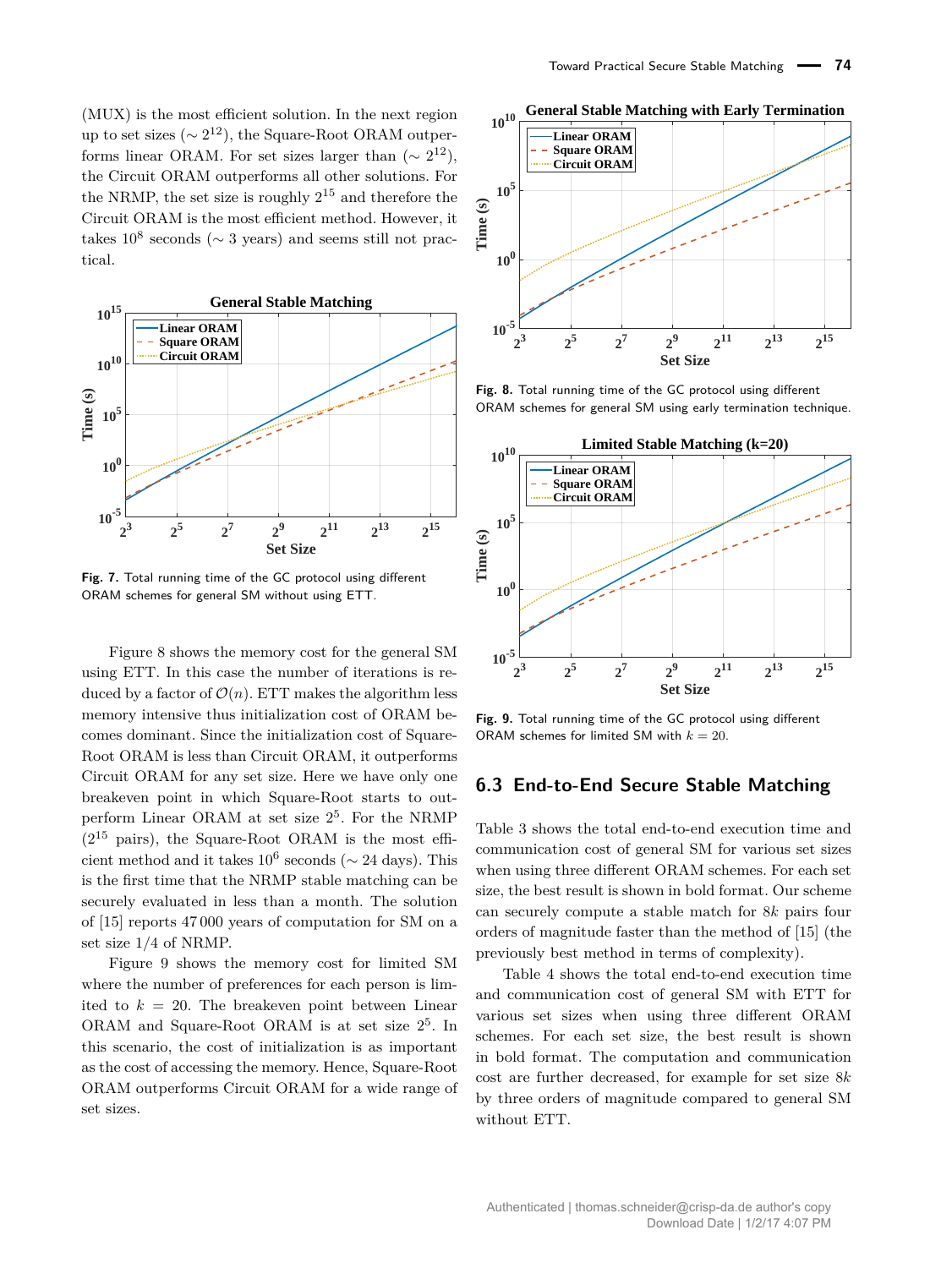(MUX) is the most efficient solution. In the next region up to set sizes ( $\sim 2^{12}$ ), the Square-Root ORAM outperforms linear ORAM. For set sizes larger than  $({\sim 2^{12}})$ , the Circuit ORAM outperforms all other solutions. For the NRMP, the set size is roughly  $2^{15}$  and therefore the Circuit ORAM is the most efficient method. However, it takes  $10^8$  seconds ( $\sim$  3 years) and seems still not practical.



**Fig. 7.** Total running time of the GC protocol using different ORAM schemes for general SM without using ETT.

Figure 8 shows the memory cost for the general SM using ETT. In this case the number of iterations is reduced by a factor of  $\mathcal{O}(n)$ . ETT makes the algorithm less memory intensive thus initialization cost of ORAM becomes dominant. Since the initialization cost of Square-Root ORAM is less than Circuit ORAM, it outperforms Circuit ORAM for any set size. Here we have only one breakeven point in which Square-Root starts to outperform Linear ORAM at set size 2 5 . For the NRMP  $(2^{15}$  pairs), the Square-Root ORAM is the most efficient method and it takes  $10^6$  seconds ( $\sim$  24 days). This is the first time that the NRMP stable matching can be securely evaluated in less than a month. The solution of [15] reports 47 000 years of computation for SM on a set size 1*/*4 of NRMP.

Figure 9 shows the memory cost for limited SM where the number of preferences for each person is limited to  $k = 20$ . The breakeven point between Linear ORAM and Square-Root ORAM is at set size  $2^5$ . In this scenario, the cost of initialization is as important as the cost of accessing the memory. Hence, Square-Root ORAM outperforms Circuit ORAM for a wide range of set sizes.



**Fig. 8.** Total running time of the GC protocol using different ORAM schemes for general SM using early termination technique.



**Fig. 9.** Total running time of the GC protocol using different ORAM schemes for limited SM with  $k = 20$ .

### **6.3 End-to-End Secure Stable Matching**

Table 3 shows the total end-to-end execution time and communication cost of general SM for various set sizes when using three different ORAM schemes. For each set size, the best result is shown in bold format. Our scheme can securely compute a stable match for 8*k* pairs four orders of magnitude faster than the method of [15] (the previously best method in terms of complexity).

Table 4 shows the total end-to-end execution time and communication cost of general SM with ETT for various set sizes when using three different ORAM schemes. For each set size, the best result is shown in bold format. The computation and communication cost are further decreased, for example for set size 8*k* by three orders of magnitude compared to general SM without ETT.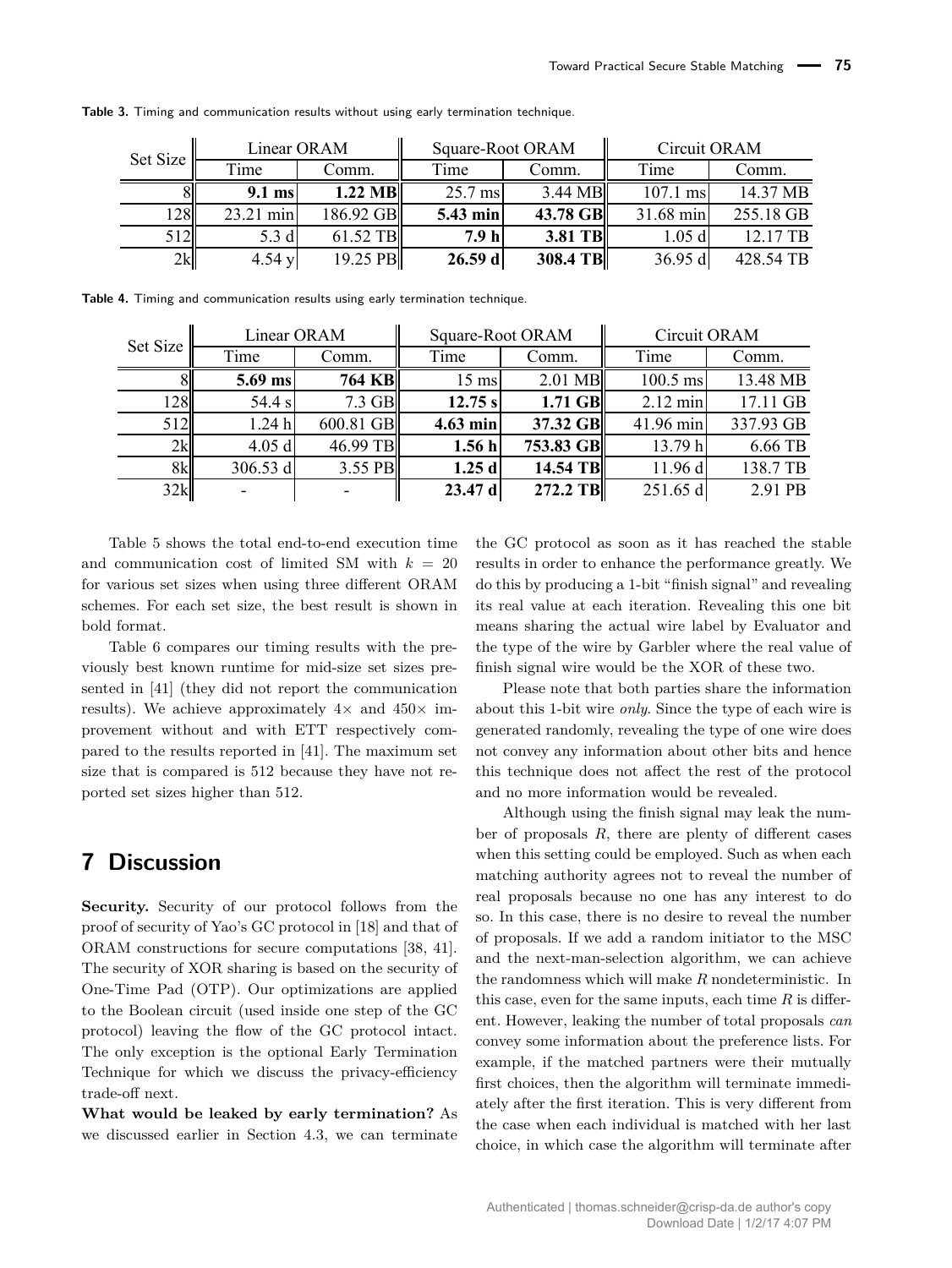| Set Size |           | Linear ORAM       | Square-Root ORAM |          | Circuit ORAM |           |
|----------|-----------|-------------------|------------------|----------|--------------|-----------|
|          | Time      | Comm.             | Time             | Comm.    | Time         | Comm.     |
|          | $9.1$ ms  | $1.22 \text{ MB}$ | $25.7$ ms        | 3.44 MB  | $107.1$ ms   | 14.37 MB  |
| 28       | 23.21 min | 186.92 GB         | 5.43 min         | 43.78 GB | 31.68 min    | 255.18 GB |
| 512      | 5.3 d     | 61.52 TB          | 7.9 <sub>h</sub> | 3.81 TB  | 1.05d        | 12.17 TB  |
| 2k       | 4.54y     | 19.25 PB          | $26.59$ d        | 308.4 TB | 36.95 d      | 428.54 TB |

**Table 3.** Timing and communication results without using early termination technique.

**Table 4.** Timing and communication results using early termination technique.

| Set Size |          | Linear ORAM   |                 | Square-Root ORAM |                    | Circuit ORAM |  |
|----------|----------|---------------|-----------------|------------------|--------------------|--------------|--|
|          | Time     | Comm.         | Time            | Comm.            | Time               | Comm.        |  |
|          | 5.69 ms  | <b>764 KB</b> | $15 \text{ ms}$ | 2.01 MB          | $100.5$ ms         | 13.48 MB     |  |
| 128      | 54.4 s   | $7.3$ GB      | 12.75 s         | $1.71$ GB        | $2.12 \text{ min}$ | 17.11 GB     |  |
| 512      | 1.24h    | 600.81 GB     | $4.63$ min      | 37.32 GB         | 41.96 min          | 337.93 GB    |  |
| 2k       | 4.05d    | 46.99 TB      | 1.56h           | 753.83 GB        | 13.79 h            | 6.66 TB      |  |
| 8k       | 306.53 d | 3.55 PB       | $1.25$ d        | 14.54 TB         | 11.96 d            | 138.7 TB     |  |
| 32k      |          |               | $23.47$ d       | 272.2 TB         | $251.65$ d         | 2.91 PB      |  |

Table 5 shows the total end-to-end execution time and communication cost of limited SM with  $k = 20$ for various set sizes when using three different ORAM schemes. For each set size, the best result is shown in bold format.

Table 6 compares our timing results with the previously best known runtime for mid-size set sizes presented in [41] (they did not report the communication results). We achieve approximately  $4 \times$  and  $450 \times$  improvement without and with ETT respectively compared to the results reported in [41]. The maximum set size that is compared is 512 because they have not reported set sizes higher than 512.

# **7 Discussion**

**Security.** Security of our protocol follows from the proof of security of Yao's GC protocol in [18] and that of ORAM constructions for secure computations [38, 41]. The security of XOR sharing is based on the security of One-Time Pad (OTP). Our optimizations are applied to the Boolean circuit (used inside one step of the GC protocol) leaving the flow of the GC protocol intact. The only exception is the optional Early Termination Technique for which we discuss the privacy-efficiency trade-off next.

**What would be leaked by early termination?** As we discussed earlier in Section 4.3, we can terminate the GC protocol as soon as it has reached the stable results in order to enhance the performance greatly. We do this by producing a 1-bit "finish signal" and revealing its real value at each iteration. Revealing this one bit means sharing the actual wire label by Evaluator and the type of the wire by Garbler where the real value of finish signal wire would be the XOR of these two.

Please note that both parties share the information about this 1-bit wire *only*. Since the type of each wire is generated randomly, revealing the type of one wire does not convey any information about other bits and hence this technique does not affect the rest of the protocol and no more information would be revealed.

Although using the finish signal may leak the number of proposals *R*, there are plenty of different cases when this setting could be employed. Such as when each matching authority agrees not to reveal the number of real proposals because no one has any interest to do so. In this case, there is no desire to reveal the number of proposals. If we add a random initiator to the MSC and the next-man-selection algorithm, we can achieve the randomness which will make *R* nondeterministic. In this case, even for the same inputs, each time  $R$  is different. However, leaking the number of total proposals *can* convey some information about the preference lists. For example, if the matched partners were their mutually first choices, then the algorithm will terminate immediately after the first iteration. This is very different from the case when each individual is matched with her last choice, in which case the algorithm will terminate after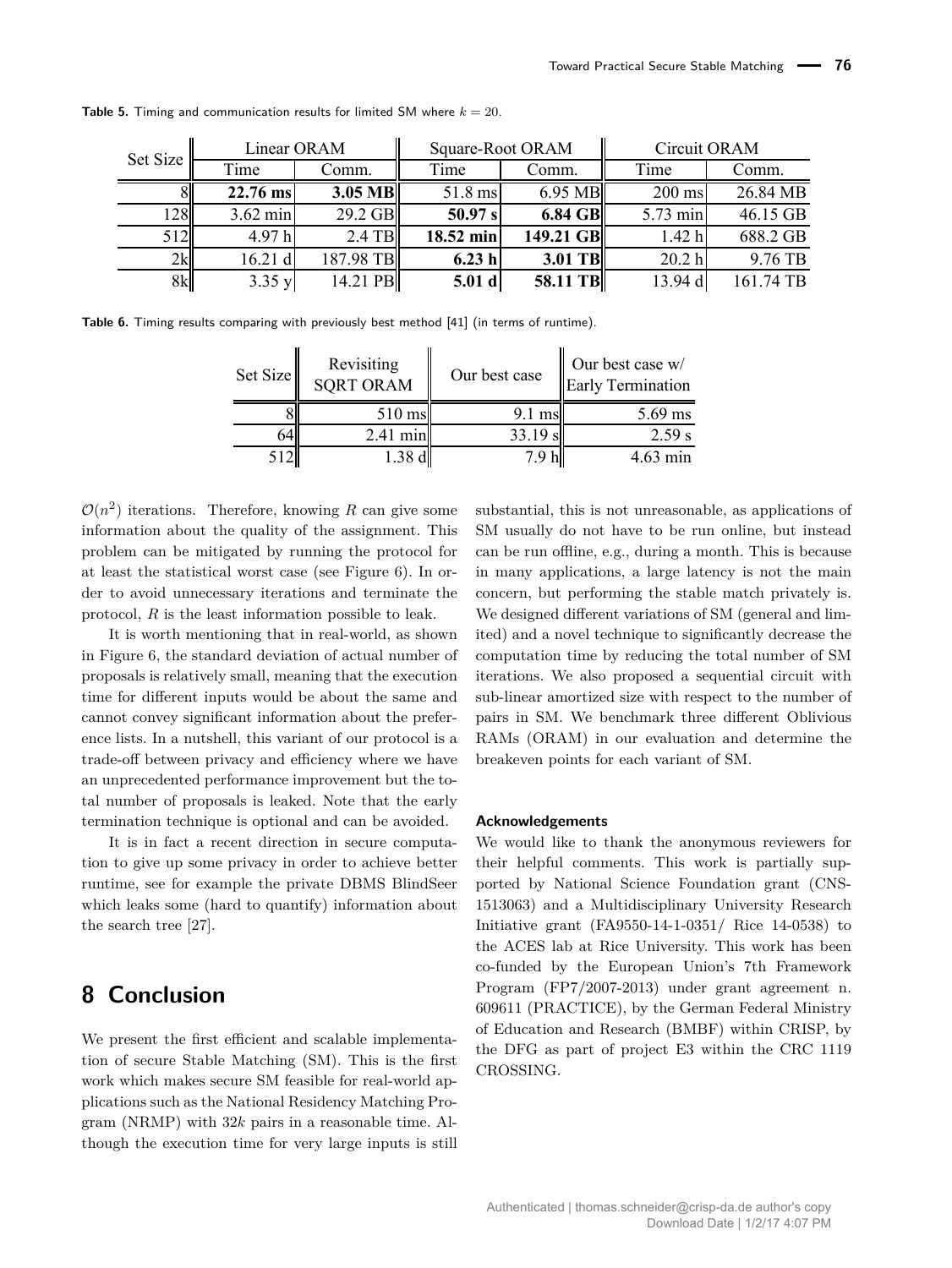| Set Size  |                    | Linear ORAM | Square-Root ORAM |           | Circuit ORAM      |           |
|-----------|--------------------|-------------|------------------|-----------|-------------------|-----------|
|           | Time               | Comm.       | Time             | Comm.     | Time              | Comm.     |
|           | 22.76 ms           | $3.05$ MB   | $51.8$ ms        | 6.95 MB   | $200$ ms          | 26.84 MB  |
| <b>28</b> | $3.62 \text{ min}$ | 29.2 GB     | 50.97 s          | 6.84 GB   | 5.73 min          | 46.15 GB  |
| 512       | 4.97h              | $2.4$ TB    | 18.52 min        | 149.21 GB | 1.42 <sub>h</sub> | 688.2 GB  |
| 2k        | 16.21 d            | 187.98 TB   | 6.23h            | 3.01 TB   | 20.2 h            | 9.76 TB   |
| 8k        | 3.35y              | 14.21 PB    | 5.01 d           | 58.11 TB  | 13.94 d           | 161.74 TB |

**Table 5.** Timing and communication results for limited SM where  $k = 20$ .

**Table 6.** Timing results comparing with previously best method [41] (in terms of runtime).

| Set Size | Revisiting<br><b>SORT ORAM</b> | Our best case | Our best case w/<br><b>Early Termination</b> |
|----------|--------------------------------|---------------|----------------------------------------------|
|          | 510 ms                         | 9.1 msl       | $5.69$ ms                                    |
|          | $2.41$ min                     | 33.19 s       | 2.59 s                                       |
|          | 1.38 d                         | 79 hI         | $4.63 \text{ min}$                           |

 $\mathcal{O}(n^2)$  iterations. Therefore, knowing R can give some information about the quality of the assignment. This problem can be mitigated by running the protocol for at least the statistical worst case (see Figure 6). In order to avoid unnecessary iterations and terminate the protocol, *R* is the least information possible to leak.

It is worth mentioning that in real-world, as shown in Figure 6, the standard deviation of actual number of proposals is relatively small, meaning that the execution time for different inputs would be about the same and cannot convey significant information about the preference lists. In a nutshell, this variant of our protocol is a trade-off between privacy and efficiency where we have an unprecedented performance improvement but the total number of proposals is leaked. Note that the early termination technique is optional and can be avoided.

It is in fact a recent direction in secure computation to give up some privacy in order to achieve better runtime, see for example the private DBMS BlindSeer which leaks some (hard to quantify) information about the search tree [27].

# **8 Conclusion**

We present the first efficient and scalable implementation of secure Stable Matching (SM). This is the first work which makes secure SM feasible for real-world applications such as the National Residency Matching Program (NRMP) with 32*k* pairs in a reasonable time. Although the execution time for very large inputs is still substantial, this is not unreasonable, as applications of SM usually do not have to be run online, but instead can be run offline, e.g., during a month. This is because in many applications, a large latency is not the main concern, but performing the stable match privately is. We designed different variations of SM (general and limited) and a novel technique to significantly decrease the computation time by reducing the total number of SM iterations. We also proposed a sequential circuit with sub-linear amortized size with respect to the number of pairs in SM. We benchmark three different Oblivious RAMs (ORAM) in our evaluation and determine the breakeven points for each variant of SM.

#### **Acknowledgements**

We would like to thank the anonymous reviewers for their helpful comments. This work is partially supported by National Science Foundation grant (CNS-1513063) and a Multidisciplinary University Research Initiative grant (FA9550-14-1-0351/ Rice 14-0538) to the ACES lab at Rice University. This work has been co-funded by the European Union's 7th Framework Program (FP7/2007-2013) under grant agreement n. 609611 (PRACTICE), by the German Federal Ministry of Education and Research (BMBF) within CRISP, by the DFG as part of project E3 within the CRC 1119 CROSSING.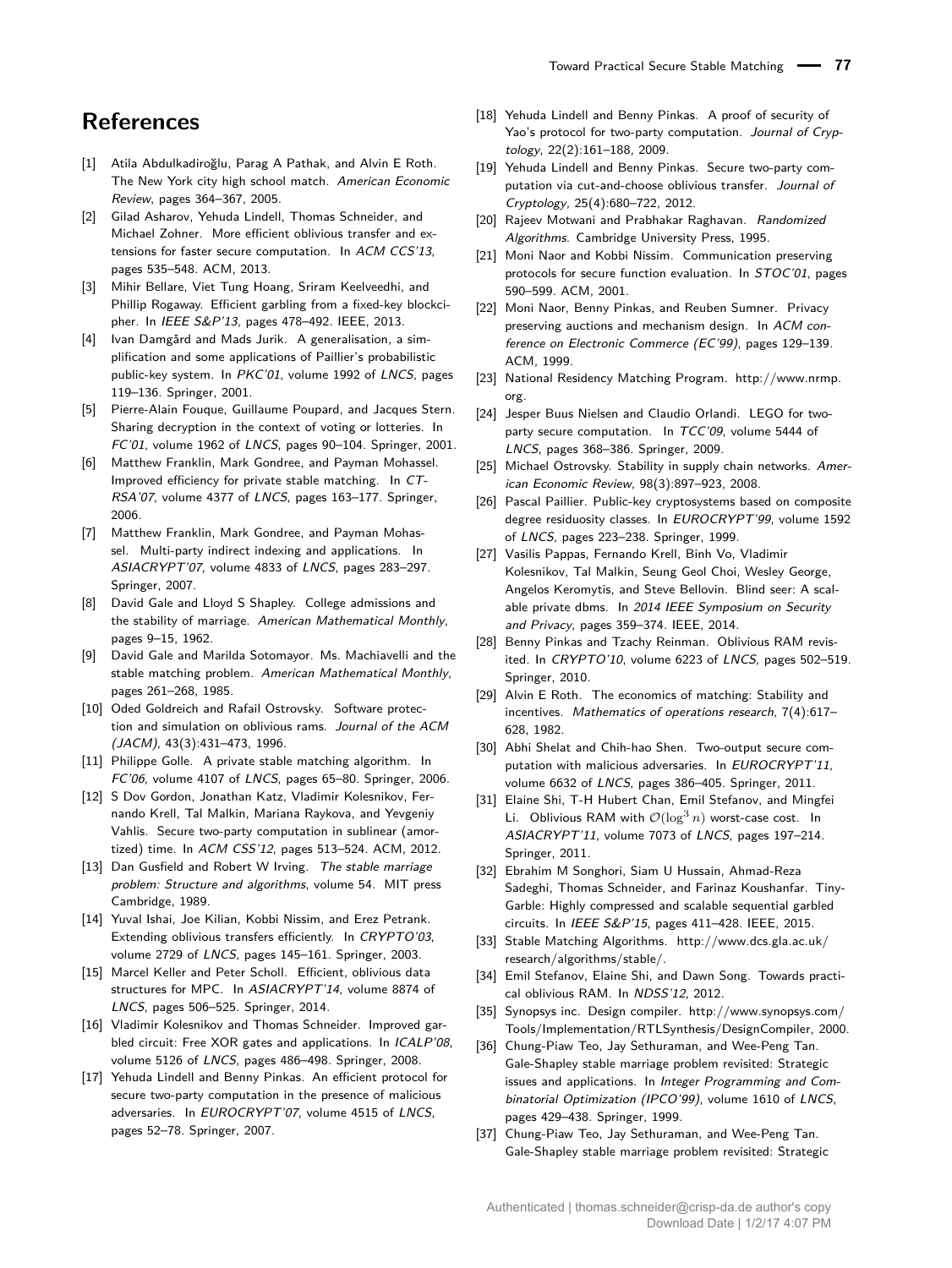# **References**

- [1] Atila Abdulkadiroğlu, Parag A Pathak, and Alvin E Roth. The New York city high school match. American Economic Review, pages 364–367, 2005.
- [2] Gilad Asharov, Yehuda Lindell, Thomas Schneider, and Michael Zohner. More efficient oblivious transfer and extensions for faster secure computation. In ACM CCS'13, pages 535–548. ACM, 2013.
- [3] Mihir Bellare, Viet Tung Hoang, Sriram Keelveedhi, and Phillip Rogaway. Efficient garbling from a fixed-key blockcipher. In IEEE S&P'13, pages 478–492. IEEE, 2013.
- [4] Ivan Damgård and Mads Jurik. A generalisation, a simplification and some applications of Paillier's probabilistic public-key system. In PKC'01, volume 1992 of LNCS, pages 119–136. Springer, 2001.
- [5] Pierre-Alain Fouque, Guillaume Poupard, and Jacques Stern. Sharing decryption in the context of voting or lotteries. In FC'01, volume 1962 of LNCS, pages 90–104. Springer, 2001.
- [6] Matthew Franklin, Mark Gondree, and Payman Mohassel. Improved efficiency for private stable matching. In CT-RSA'07, volume 4377 of LNCS, pages 163–177. Springer, 2006.
- [7] Matthew Franklin, Mark Gondree, and Payman Mohassel. Multi-party indirect indexing and applications. In ASIACRYPT'07, volume 4833 of LNCS, pages 283–297. Springer, 2007.
- [8] David Gale and Lloyd S Shapley. College admissions and the stability of marriage. American Mathematical Monthly, pages 9–15, 1962.
- [9] David Gale and Marilda Sotomayor. Ms. Machiavelli and the stable matching problem. American Mathematical Monthly, pages 261–268, 1985.
- [10] Oded Goldreich and Rafail Ostrovsky. Software protection and simulation on oblivious rams. Journal of the ACM (JACM), 43(3):431–473, 1996.
- [11] Philippe Golle. A private stable matching algorithm. In FC'06, volume 4107 of LNCS, pages 65–80. Springer, 2006.
- [12] S Dov Gordon, Jonathan Katz, Vladimir Kolesnikov, Fernando Krell, Tal Malkin, Mariana Raykova, and Yevgeniy Vahlis. Secure two-party computation in sublinear (amortized) time. In ACM CSS'12, pages 513–524. ACM, 2012.
- [13] Dan Gusfield and Robert W Irving. The stable marriage problem: Structure and algorithms, volume 54. MIT press Cambridge, 1989.
- [14] Yuval Ishai, Joe Kilian, Kobbi Nissim, and Erez Petrank. Extending oblivious transfers efficiently. In CRYPTO'03, volume 2729 of LNCS, pages 145–161. Springer, 2003.
- [15] Marcel Keller and Peter Scholl. Efficient, oblivious data structures for MPC. In ASIACRYPT'14, volume 8874 of LNCS, pages 506–525. Springer, 2014.
- [16] Vladimir Kolesnikov and Thomas Schneider. Improved garbled circuit: Free XOR gates and applications. In ICALP'08, volume 5126 of LNCS, pages 486–498. Springer, 2008.
- [17] Yehuda Lindell and Benny Pinkas. An efficient protocol for secure two-party computation in the presence of malicious adversaries. In EUROCRYPT'07, volume 4515 of LNCS, pages 52–78. Springer, 2007.
- [18] Yehuda Lindell and Benny Pinkas. A proof of security of Yao's protocol for two-party computation. Journal of Cryptology, 22(2):161–188, 2009.
- [19] Yehuda Lindell and Benny Pinkas. Secure two-party computation via cut-and-choose oblivious transfer. Journal of Cryptology, 25(4):680–722, 2012.
- [20] Rajeev Motwani and Prabhakar Raghavan. Randomized Algorithms. Cambridge University Press, 1995.
- [21] Moni Naor and Kobbi Nissim. Communication preserving protocols for secure function evaluation. In STOC'01, pages 590–599. ACM, 2001.
- [22] Moni Naor, Benny Pinkas, and Reuben Sumner. Privacy preserving auctions and mechanism design. In ACM conference on Electronic Commerce (EC'99), pages 129–139. ACM, 1999.
- [23] National Residency Matching Program. [http://www.nrmp.](http://www.nrmp.org) [org.](http://www.nrmp.org)
- [24] Jesper Buus Nielsen and Claudio Orlandi. LEGO for twoparty secure computation. In TCC'09, volume 5444 of LNCS, pages 368–386. Springer, 2009.
- [25] Michael Ostrovsky. Stability in supply chain networks. American Economic Review, 98(3):897–923, 2008.
- [26] Pascal Paillier. Public-key cryptosystems based on composite degree residuosity classes. In EUROCRYPT'99, volume 1592 of LNCS, pages 223–238. Springer, 1999.
- [27] Vasilis Pappas, Fernando Krell, Binh Vo, Vladimir Kolesnikov, Tal Malkin, Seung Geol Choi, Wesley George, Angelos Keromytis, and Steve Bellovin. Blind seer: A scalable private dbms. In 2014 IEEE Symposium on Security and Privacy, pages 359–374. IEEE, 2014.
- [28] Benny Pinkas and Tzachy Reinman. Oblivious RAM revisited. In CRYPTO'10, volume 6223 of LNCS, pages 502–519. Springer, 2010.
- [29] Alvin E Roth. The economics of matching: Stability and incentives. Mathematics of operations research, 7(4):617– 628, 1982.
- [30] Abhi Shelat and Chih-hao Shen. Two-output secure computation with malicious adversaries. In EUROCRYPT'11, volume 6632 of LNCS, pages 386–405. Springer, 2011.
- [31] Elaine Shi, T-H Hubert Chan, Emil Stefanov, and Mingfei Li. Oblivious RAM with  $\mathcal{O}(\log^3 n)$  worst-case cost. In ASIACRYPT'11, volume 7073 of LNCS, pages 197–214. Springer, 2011.
- [32] Ebrahim M Songhori, Siam U Hussain, Ahmad-Reza Sadeghi, Thomas Schneider, and Farinaz Koushanfar. Tiny-Garble: Highly compressed and scalable sequential garbled circuits. In IEEE S&P'15, pages 411–428. IEEE, 2015.
- [33] Stable Matching Algorithms. [http://www.dcs.gla.ac.uk/](http://www.dcs.gla.ac.uk/research/algorithms/stable/) [research/algorithms/stable/.](http://www.dcs.gla.ac.uk/research/algorithms/stable/)
- [34] Emil Stefanov, Elaine Shi, and Dawn Song. Towards practical oblivious RAM. In NDSS'12, 2012.
- [35] Synopsys inc. Design compiler. [http://www.synopsys.com/](http://www.synopsys.com/Tools/ Implementation/RTLSynthesis/DesignCompiler) [Tools/Implementation/RTLSynthesis/DesignCompiler,](http://www.synopsys.com/Tools/ Implementation/RTLSynthesis/DesignCompiler) 2000.
- [36] Chung-Piaw Teo, Jay Sethuraman, and Wee-Peng Tan. Gale-Shapley stable marriage problem revisited: Strategic issues and applications. In Integer Programming and Combinatorial Optimization (IPCO'99), volume 1610 of LNCS, pages 429–438. Springer, 1999.
- [37] Chung-Piaw Teo, Jay Sethuraman, and Wee-Peng Tan. Gale-Shapley stable marriage problem revisited: Strategic